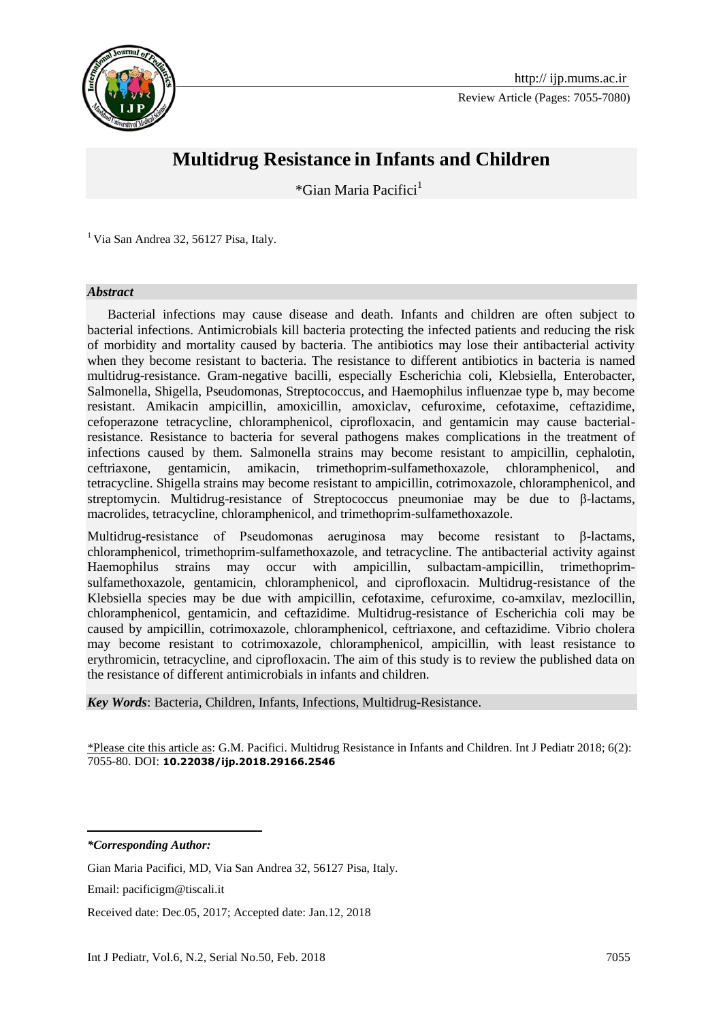

Review Article (Pages: 7055-7080)



# **Multidrug Resistance in Infants and Children**

\*Gian Maria Pacifici<sup>1</sup>

<sup>1</sup> Via San Andrea 32, 56127 Pisa, Italy.

#### *Abstract*

 Bacterial infections may cause disease and death. Infants and children are often subject to bacterial infections. Antimicrobials kill bacteria protecting the infected patients and reducing the risk of morbidity and mortality caused by bacteria. The antibiotics may lose their antibacterial activity when they become resistant to bacteria. The resistance to different antibiotics in bacteria is named multidrug-resistance. Gram-negative bacilli, especially Escherichia coli, Klebsiella, Enterobacter, Salmonella, Shigella, Pseudomonas, Streptococcus, and Haemophilus influenzae type b, may become resistant. Amikacin ampicillin, amoxicillin, amoxiclav, cefuroxime, cefotaxime, ceftazidime, cefoperazone tetracycline, chloramphenicol, ciprofloxacin, and gentamicin may cause bacterialresistance. Resistance to bacteria for several pathogens makes complications in the treatment of infections caused by them. Salmonella strains may become resistant to ampicillin, cephalotin, ceftriaxone, gentamicin, amikacin, trimethoprim-sulfamethoxazole, chloramphenicol, and tetracycline. Shigella strains may become resistant to ampicillin, cotrimoxazole, chloramphenicol, and streptomycin. Multidrug-resistance of Streptococcus pneumoniae may be due to β-lactams, macrolides, tetracycline, chloramphenicol, and trimethoprim-sulfamethoxazole.

Multidrug-resistance of Pseudomonas aeruginosa may become resistant to β-lactams, chloramphenicol, trimethoprim-sulfamethoxazole, and tetracycline. The antibacterial activity against Haemophilus strains may occur with ampicillin, sulbactam-ampicillin, trimethoprimsulfamethoxazole, gentamicin, chloramphenicol, and ciprofloxacin. Multidrug-resistance of the Klebsiella species may be due with ampicillin, cefotaxime, cefuroxime, co-amxilav, mezlocillin, chloramphenicol, gentamicin, and ceftazidime. Multidrug-resistance of Escherichia coli may be caused by ampicillin, cotrimoxazole, chloramphenicol, ceftriaxone, and ceftazidime. Vibrio cholera may become resistant to cotrimoxazole, chloramphenicol, ampicillin, with least resistance to erythromicin, tetracycline, and ciprofloxacin. The aim of this study is to review the published data on the resistance of different antimicrobials in infants and children.

*Key Words*: Bacteria, Children, Infants, Infections, Multidrug-Resistance.

\*Please cite this article as: G.M. Pacifici. Multidrug Resistance in Infants and Children. Int J Pediatr 2018; 6(2): 7055-80. DOI: **10.22038/ijp.2018.29166.2546**

*\*Corresponding Author:*

**.** 

Received date: Dec.05, 2017; Accepted date: Jan.12, 2018

Gian Maria Pacifici, MD, Via San Andrea 32, 56127 Pisa, Italy.

Email: pacificigm@tiscali.it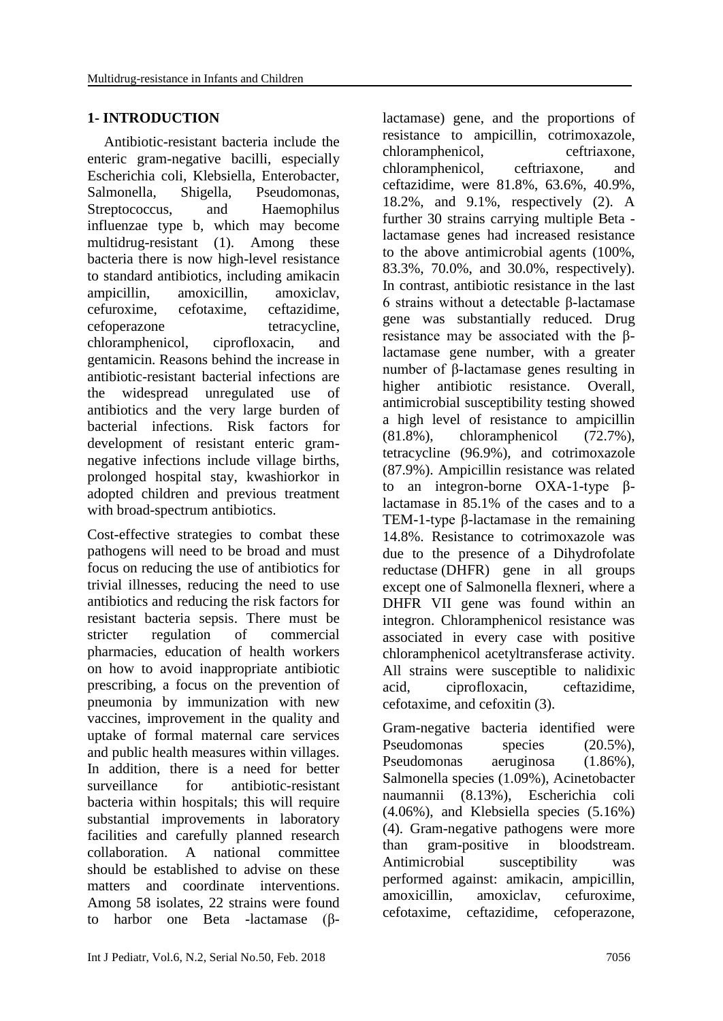## **1- INTRODUCTION**

 Antibiotic-resistant bacteria include the enteric gram-negative bacilli, especially Escherichia coli, Klebsiella, Enterobacter, Salmonella, Shigella, Pseudomonas, Streptococcus, and Haemophilus influenzae type b, which may become multidrug-resistant (1). Among these bacteria there is now high-level resistance to standard antibiotics, including amikacin ampicillin, amoxicillin, amoxiclav, cefuroxime, cefotaxime, ceftazidime, cefoperazone tetracycline, chloramphenicol, ciprofloxacin, and gentamicin. Reasons behind the increase in antibiotic-resistant bacterial infections are the widespread unregulated use of antibiotics and the very large burden of bacterial infections. Risk factors for development of resistant enteric gramnegative infections include village births, prolonged hospital stay, kwashiorkor in adopted children and previous treatment with broad-spectrum antibiotics.

Cost-effective strategies to combat these pathogens will need to be broad and must focus on reducing the use of antibiotics for trivial illnesses, reducing the need to use antibiotics and reducing the risk factors for resistant bacteria sepsis. There must be stricter regulation of commercial pharmacies, education of health workers on how to avoid inappropriate antibiotic prescribing, a focus on the prevention of pneumonia by immunization with new vaccines, improvement in the quality and uptake of formal maternal care services and public health measures within villages. In addition, there is a need for better surveillance for antibiotic-resistant bacteria within hospitals; this will require substantial improvements in laboratory facilities and carefully planned research collaboration. A national committee should be established to advise on these matters and coordinate interventions. Among 58 isolates, 22 strains were found to harbor one Beta -lactamase (β-

lactamase) gene, and the proportions of resistance to ampicillin, cotrimoxazole, chloramphenicol, ceftriaxone, chloramphenicol, ceftriaxone, and ceftazidime, were 81.8%, 63.6%, 40.9%, 18.2%, and 9.1%, respectively (2). A further 30 strains carrying multiple Beta lactamase genes had increased resistance to the above antimicrobial agents (100%, 83.3%, 70.0%, and 30.0%, respectively). In contrast, antibiotic resistance in the last 6 strains without a detectable β-lactamase gene was substantially reduced. Drug resistance may be associated with the βlactamase gene number, with a greater number of β-lactamase genes resulting in higher antibiotic resistance. Overall, antimicrobial susceptibility testing showed a high level of resistance to ampicillin (81.8%), chloramphenicol (72.7%), tetracycline (96.9%), and cotrimoxazole (87.9%). Ampicillin resistance was related to an integron-borne OXA-1-type βlactamase in 85.1% of the cases and to a TEM-1-type β-lactamase in the remaining 14.8%. Resistance to cotrimoxazole was due to the presence of a Dihydrofolate reductase (DHFR) gene in all groups except one of Salmonella flexneri, where a DHFR VII gene was found within an integron. Chloramphenicol resistance was associated in every case with positive chloramphenicol acetyltransferase activity. All strains were susceptible to nalidixic acid, ciprofloxacin, ceftazidime, cefotaxime, and cefoxitin (3).

Gram-negative bacteria identified were Pseudomonas species (20.5%), Pseudomonas aeruginosa (1.86%), Salmonella species (1.09%), Acinetobacter naumannii (8.13%), Escherichia coli (4.06%), and Klebsiella species (5.16%) (4). Gram-negative pathogens were more than gram-positive in bloodstream. Antimicrobial susceptibility was performed against: amikacin, ampicillin, amoxicillin, amoxiclav, cefuroxime, cefotaxime, ceftazidime, cefoperazone,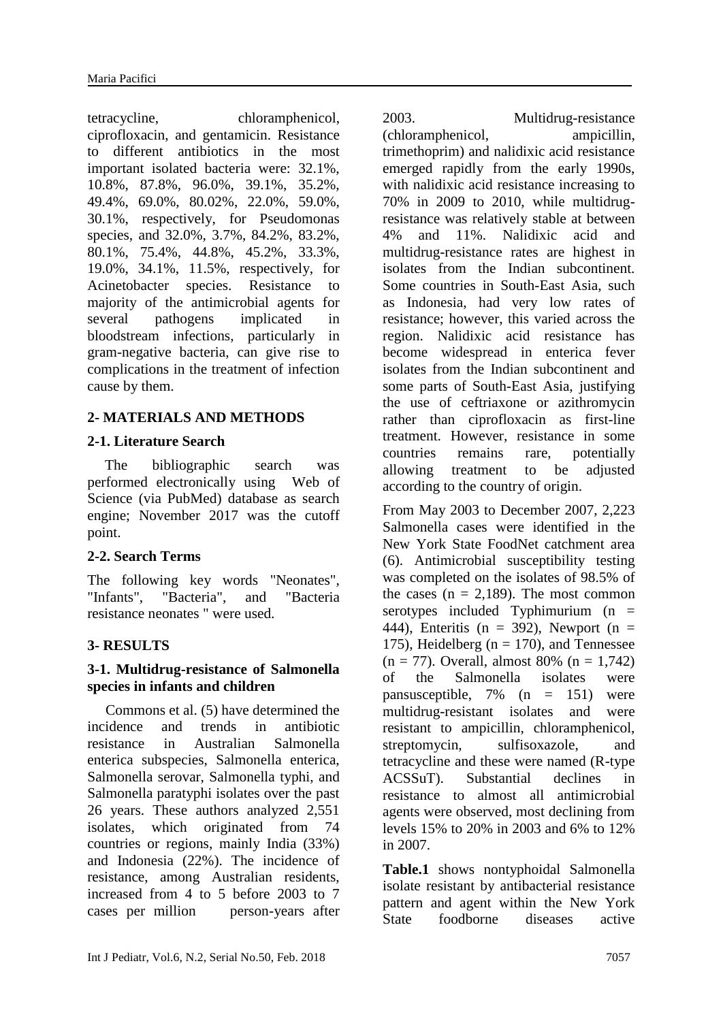tetracycline, chloramphenicol, ciprofloxacin, and gentamicin. Resistance to different antibiotics in the most important isolated bacteria were: 32.1%, 10.8%, 87.8%, 96.0%, 39.1%, 35.2%, 49.4%, 69.0%, 80.02%, 22.0%, 59.0%, 30.1%, respectively, for Pseudomonas species, and 32.0%, 3.7%, 84.2%, 83.2%, 80.1%, 75.4%, 44.8%, 45.2%, 33.3%, 19.0%, 34.1%, 11.5%, respectively, for Acinetobacter species. Resistance to majority of the antimicrobial agents for several pathogens implicated in bloodstream infections, particularly in gram-negative bacteria, can give rise to complications in the treatment of infection cause by them.

### **2- MATERIALS AND METHODS**

#### **2-1. Literature Search**

The bibliographic search was performed electronically using Web of Science (via PubMed) database as search engine; November 2017 was the cutoff point.

#### **2-2. Search Terms**

The following key words "Neonates", "Infants", "Bacteria", and "Bacteria resistance neonates " were used.

## **3- RESULTS**

#### **3-1. Multidrug-resistance of Salmonella species in infants and children**

 Commons et al. (5) have determined the incidence and trends in antibiotic resistance in Australian Salmonella enterica subspecies, Salmonella enterica, Salmonella serovar, Salmonella typhi, and Salmonella paratyphi isolates over the past 26 years. These authors analyzed 2,551 isolates, which originated from 74 countries or regions, mainly India (33%) and Indonesia (22%). The incidence of resistance, among Australian residents, increased from 4 to 5 before 2003 to 7 cases per million person-years after

2003. Multidrug-resistance

(chloramphenicol, ampicillin, trimethoprim) and nalidixic acid resistance emerged rapidly from the early 1990s, with nalidixic acid resistance increasing to 70% in 2009 to 2010, while multidrugresistance was relatively stable at between 4% and 11%. Nalidixic acid and multidrug-resistance rates are highest in isolates from the Indian subcontinent. Some countries in South-East Asia, such as Indonesia, had very low rates of resistance; however, this varied across the region. Nalidixic acid resistance has become widespread in enterica fever isolates from the Indian subcontinent and some parts of South-East Asia, justifying the use of ceftriaxone or azithromycin rather than ciprofloxacin as first-line treatment. However, resistance in some countries remains rare, potentially allowing treatment to be adjusted according to the country of origin.

From May 2003 to December 2007, 2,223 Salmonella cases were identified in the New York State FoodNet catchment area (6). Antimicrobial susceptibility testing was completed on the isolates of 98.5% of the cases  $(n = 2,189)$ . The most common serotypes included Typhimurium  $(n =$ 444), Enteritis (n = 392), Newport (n = 175), Heidelberg ( $n = 170$ ), and Tennessee  $(n = 77)$ . Overall, almost 80%  $(n = 1.742)$ of the Salmonella isolates were pansusceptible, 7% (n = 151) were multidrug-resistant isolates and were resistant to ampicillin, chloramphenicol, streptomycin, sulfisoxazole, and tetracycline and these were named (R-type ACSSuT). Substantial declines in resistance to almost all antimicrobial agents were observed, most declining from levels 15% to 20% in 2003 and 6% to 12% in 2007.

**Table.1** shows nontyphoidal Salmonella isolate resistant by antibacterial resistance pattern and agent within the New York State foodborne diseases active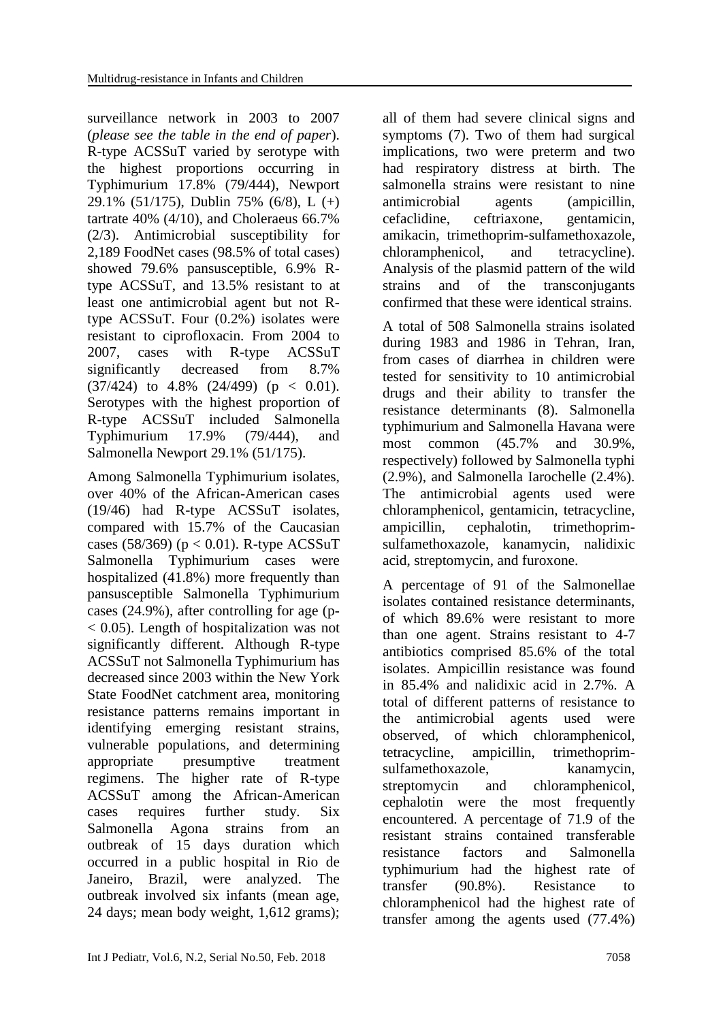surveillance network in 2003 to 2007 (*please see the table in the end of paper*). R-type ACSSuT varied by serotype with the highest proportions occurring in Typhimurium 17.8% (79/444), Newport 29.1% (51/175), Dublin 75% (6/8), L (+) tartrate 40% (4/10), and Choleraeus 66.7% (2/3). Antimicrobial susceptibility for 2,189 FoodNet cases (98.5% of total cases) showed 79.6% pansusceptible, 6.9% Rtype ACSSuT, and 13.5% resistant to at least one antimicrobial agent but not Rtype ACSSuT. Four (0.2%) isolates were resistant to ciprofloxacin. From 2004 to 2007, cases with R-type ACSSuT significantly decreased from 8.7%  $(37/424)$  to 4.8%  $(24/499)$  (p < 0.01). Serotypes with the highest proportion of R-type ACSSuT included Salmonella Typhimurium 17.9% (79/444), and Salmonella Newport 29.1% (51/175).

Among Salmonella Typhimurium isolates, over 40% of the African-American cases (19/46) had R-type ACSSuT isolates, compared with 15.7% of the Caucasian cases (58/369) ( $p < 0.01$ ). R-type ACSSuT Salmonella Typhimurium cases were hospitalized (41.8%) more frequently than pansusceptible Salmonella Typhimurium cases (24.9%), after controlling for age (p- < 0.05). Length of hospitalization was not significantly different. Although R-type ACSSuT not Salmonella Typhimurium has decreased since 2003 within the New York State FoodNet catchment area, monitoring resistance patterns remains important in identifying emerging resistant strains, vulnerable populations, and determining appropriate presumptive treatment regimens. The higher rate of R-type ACSSuT among the African-American cases requires further study. Six Salmonella Agona strains from an outbreak of 15 days duration which occurred in a public hospital in Rio de Janeiro, Brazil, were analyzed. The outbreak involved six infants (mean age, 24 days; mean body weight, 1,612 grams);

all of them had severe clinical signs and symptoms (7). Two of them had surgical implications, two were preterm and two had respiratory distress at birth. The salmonella strains were resistant to nine antimicrobial agents (ampicillin, cefaclidine, ceftriaxone, gentamicin, amikacin, trimethoprim-sulfamethoxazole, chloramphenicol, and tetracycline). Analysis of the plasmid pattern of the wild strains and of the transconjugants confirmed that these were identical strains.

A total of 508 Salmonella strains isolated during 1983 and 1986 in Tehran, Iran, from cases of diarrhea in children were tested for sensitivity to 10 antimicrobial drugs and their ability to transfer the resistance determinants (8). Salmonella typhimurium and Salmonella Havana were most common (45.7% and 30.9%, respectively) followed by Salmonella typhi (2.9%), and Salmonella Iarochelle (2.4%). The antimicrobial agents used were chloramphenicol, gentamicin, tetracycline, ampicillin, cephalotin, trimethoprimsulfamethoxazole, kanamycin, nalidixic acid, streptomycin, and furoxone.

A percentage of 91 of the Salmonellae isolates contained resistance determinants, of which 89.6% were resistant to more than one agent. Strains resistant to 4-7 antibiotics comprised 85.6% of the total isolates. Ampicillin resistance was found in 85.4% and nalidixic acid in 2.7%. A total of different patterns of resistance to the antimicrobial agents used were observed, of which chloramphenicol, tetracycline, ampicillin, trimethoprimsulfamethoxazole, kanamycin, streptomycin and chloramphenicol, cephalotin were the most frequently encountered. A percentage of 71.9 of the resistant strains contained transferable resistance factors and Salmonella typhimurium had the highest rate of transfer (90.8%). Resistance to chloramphenicol had the highest rate of transfer among the agents used (77.4%)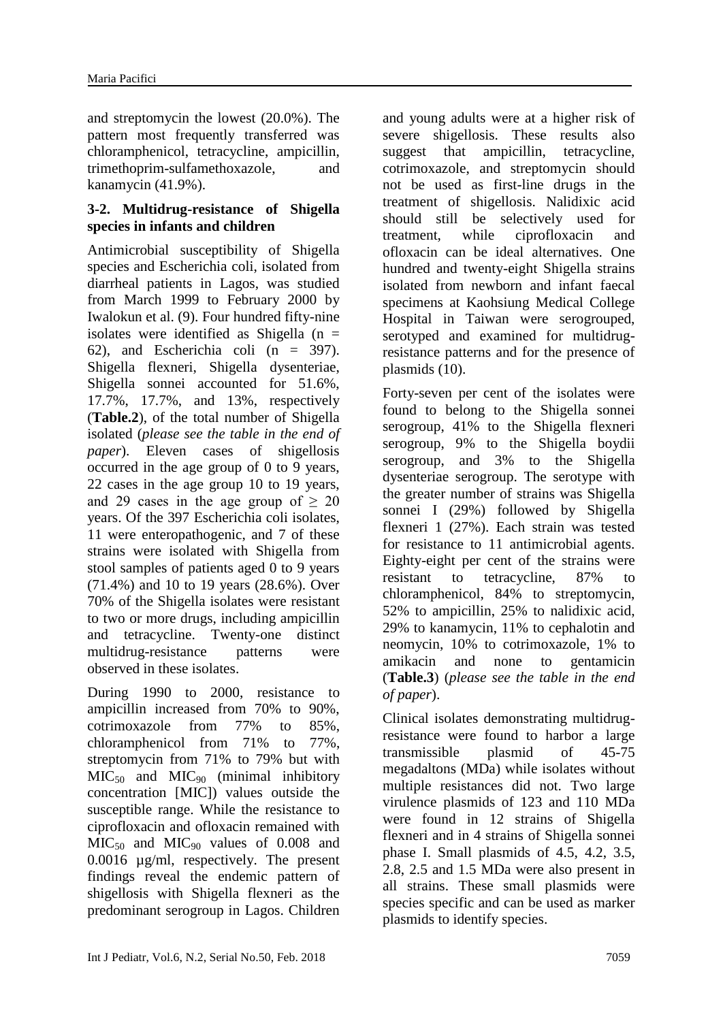and streptomycin the lowest (20.0%). The pattern most frequently transferred was chloramphenicol, tetracycline, ampicillin, trimethoprim-sulfamethoxazole, and kanamycin (41.9%).

#### **3-2. Multidrug-resistance of Shigella species in infants and children**

Antimicrobial susceptibility of Shigella species and Escherichia coli, isolated from diarrheal patients in Lagos, was studied from March 1999 to February 2000 by Iwalokun et al. (9). Four hundred fifty-nine isolates were identified as Shigella  $(n =$ 62), and Escherichia coli (n = 397). Shigella flexneri, Shigella dysenteriae, Shigella sonnei accounted for 51.6%, 17.7%, 17.7%, and 13%, respectively (**Table.2**), of the total number of Shigella isolated (*please see the table in the end of paper*). Eleven cases of shigellosis occurred in the age group of 0 to 9 years, 22 cases in the age group 10 to 19 years, and 29 cases in the age group of  $\geq 20$ years. Of the 397 Escherichia coli isolates, 11 were enteropathogenic, and 7 of these strains were isolated with Shigella from stool samples of patients aged 0 to 9 years (71.4%) and 10 to 19 years (28.6%). Over 70% of the Shigella isolates were resistant to two or more drugs, including ampicillin and tetracycline. Twenty-one distinct multidrug-resistance patterns were observed in these isolates.

During 1990 to 2000, resistance to ampicillin increased from 70% to 90%, cotrimoxazole from 77% to 85%, chloramphenicol from 71% to 77%, streptomycin from 71% to 79% but with  $MIC<sub>50</sub>$  and  $MIC<sub>90</sub>$  (minimal inhibitory concentration [MIC]) values outside the susceptible range. While the resistance to ciprofloxacin and ofloxacin remained with  $MIC<sub>50</sub>$  and  $MIC<sub>90</sub>$  values of 0.008 and 0.0016 µg/ml, respectively. The present findings reveal the endemic pattern of shigellosis with Shigella flexneri as the predominant serogroup in Lagos. Children

and young adults were at a higher risk of severe shigellosis. These results also suggest that ampicillin, tetracycline, cotrimoxazole, and streptomycin should not be used as first-line drugs in the treatment of shigellosis. Nalidixic acid should still be selectively used for treatment, while ciprofloxacin and ofloxacin can be ideal alternatives. One hundred and twenty-eight Shigella strains isolated from newborn and infant faecal specimens at Kaohsiung Medical College Hospital in Taiwan were serogrouped, serotyped and examined for multidrugresistance patterns and for the presence of plasmids (10).

Forty-seven per cent of the isolates were found to belong to the Shigella sonnei serogroup, 41% to the Shigella flexneri serogroup, 9% to the Shigella boydii serogroup, and 3% to the Shigella dysenteriae serogroup. The serotype with the greater number of strains was Shigella sonnei I (29%) followed by Shigella flexneri 1 (27%). Each strain was tested for resistance to 11 antimicrobial agents. Eighty-eight per cent of the strains were resistant to tetracycline, 87% to chloramphenicol, 84% to streptomycin, 52% to ampicillin, 25% to nalidixic acid, 29% to kanamycin, 11% to cephalotin and neomycin, 10% to cotrimoxazole, 1% to amikacin and none to gentamicin (**Table.3**) (*please see the table in the end of paper*).

Clinical isolates demonstrating multidrugresistance were found to harbor a large transmissible plasmid of 45-75 megadaltons (MDa) while isolates without multiple resistances did not. Two large virulence plasmids of 123 and 110 MDa were found in 12 strains of Shigella flexneri and in 4 strains of Shigella sonnei phase I. Small plasmids of 4.5, 4.2, 3.5, 2.8, 2.5 and 1.5 MDa were also present in all strains. These small plasmids were species specific and can be used as marker plasmids to identify species.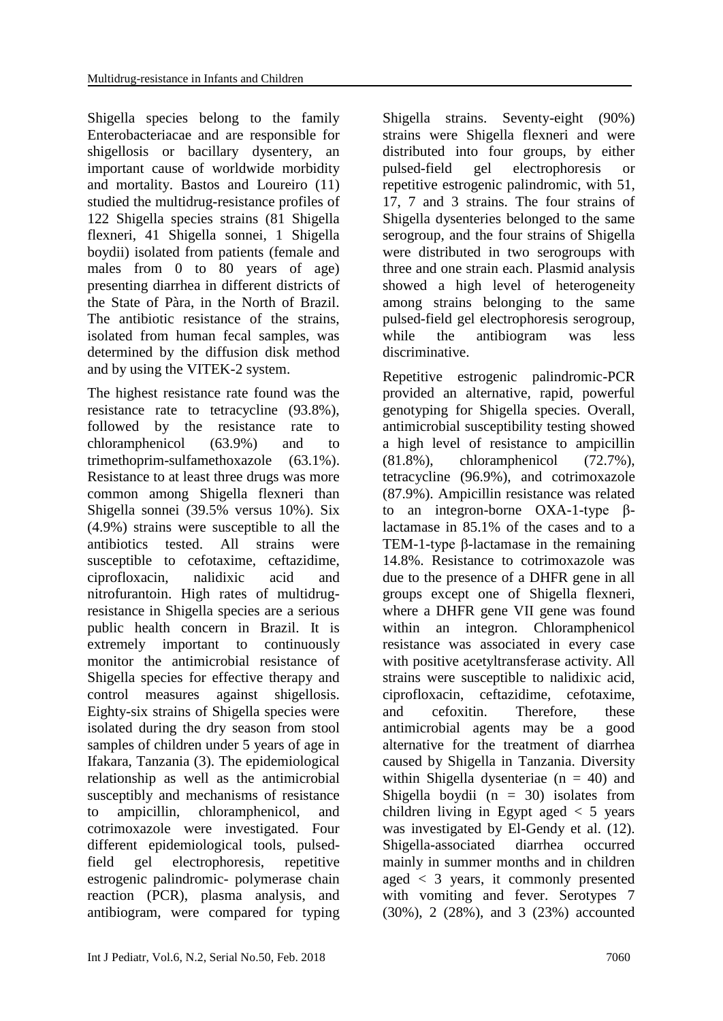Shigella species belong to the family Enterobacteriacae and are responsible for shigellosis or bacillary dysentery, an important cause of worldwide morbidity and mortality. Bastos and Loureiro (11) studied the multidrug-resistance profiles of 122 Shigella species strains (81 Shigella flexneri, 41 Shigella sonnei, 1 Shigella boydii) isolated from patients (female and males from 0 to 80 years of age) presenting diarrhea in different districts of the State of Pàra, in the North of Brazil. The antibiotic resistance of the strains, isolated from human fecal samples, was determined by the diffusion disk method and by using the VITEK-2 system.

The highest resistance rate found was the resistance rate to tetracycline (93.8%), followed by the resistance rate to chloramphenicol (63.9%) and to trimethoprim-sulfamethoxazole (63.1%). Resistance to at least three drugs was more common among Shigella flexneri than Shigella sonnei (39.5% versus 10%). Six (4.9%) strains were susceptible to all the antibiotics tested. All strains were susceptible to cefotaxime, ceftazidime, ciprofloxacin, nalidixic acid and nitrofurantoin. High rates of multidrugresistance in Shigella species are a serious public health concern in Brazil. It is extremely important to continuously monitor the antimicrobial resistance of Shigella species for effective therapy and control measures against shigellosis. Eighty-six strains of Shigella species were isolated during the dry season from stool samples of children under 5 years of age in Ifakara, Tanzania (3). The epidemiological relationship as well as the antimicrobial susceptibly and mechanisms of resistance to ampicillin, chloramphenicol, and cotrimoxazole were investigated. Four different epidemiological tools, pulsedfield gel electrophoresis, repetitive estrogenic palindromic- polymerase chain reaction (PCR), plasma analysis, and antibiogram, were compared for typing

Shigella strains. Seventy-eight (90%) strains were Shigella flexneri and were distributed into four groups, by either pulsed-field gel electrophoresis or repetitive estrogenic palindromic, with 51, 17, 7 and 3 strains. The four strains of Shigella dysenteries belonged to the same serogroup, and the four strains of Shigella were distributed in two serogroups with three and one strain each. Plasmid analysis showed a high level of heterogeneity among strains belonging to the same pulsed-field gel electrophoresis serogroup, while the antibiogram was less discriminative.

Repetitive estrogenic palindromic-PCR provided an alternative, rapid, powerful genotyping for Shigella species. Overall, antimicrobial susceptibility testing showed a high level of resistance to ampicillin (81.8%), chloramphenicol (72.7%), tetracycline (96.9%), and cotrimoxazole (87.9%). Ampicillin resistance was related to an integron-borne OXA-1-type βlactamase in 85.1% of the cases and to a TEM-1-type β-lactamase in the remaining 14.8%. Resistance to cotrimoxazole was due to the presence of a DHFR gene in all groups except one of Shigella flexneri, where a DHFR gene VII gene was found within an integron. Chloramphenicol resistance was associated in every case with positive acetyltransferase activity. All strains were susceptible to nalidixic acid, ciprofloxacin, ceftazidime, cefotaxime, and cefoxitin. Therefore, these antimicrobial agents may be a good alternative for the treatment of diarrhea caused by Shigella in Tanzania. Diversity within Shigella dysenteriae  $(n = 40)$  and Shigella boydii  $(n = 30)$  isolates from children living in Egypt aged  $\lt$  5 years was investigated by El-Gendy et al. (12). Shigella-associated diarrhea occurred mainly in summer months and in children aged < 3 years, it commonly presented with vomiting and fever. Serotypes 7 (30%), 2 (28%), and 3 (23%) accounted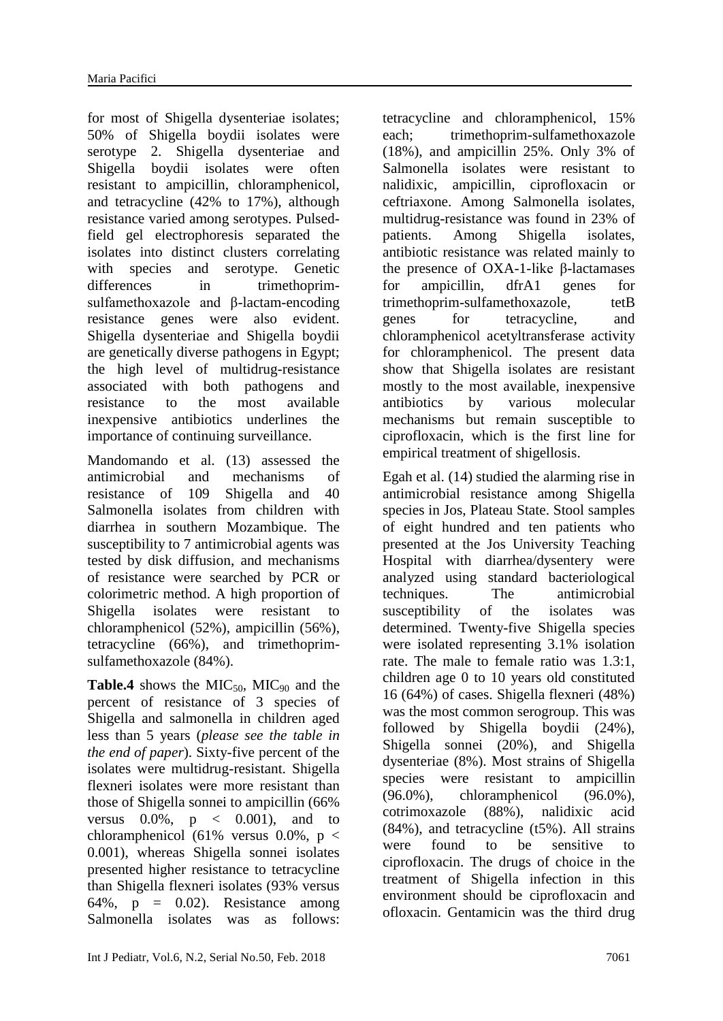for most of Shigella dysenteriae isolates; 50% of Shigella boydii isolates were serotype 2. Shigella dysenteriae and Shigella boydii isolates were often resistant to ampicillin, chloramphenicol, and tetracycline (42% to 17%), although resistance varied among serotypes. Pulsedfield gel electrophoresis separated the isolates into distinct clusters correlating with species and serotype. Genetic differences in trimethoprimsulfamethoxazole and β-lactam-encoding resistance genes were also evident. Shigella dysenteriae and Shigella boydii are genetically diverse pathogens in Egypt; the high level of multidrug-resistance associated with both pathogens and resistance to the most available inexpensive antibiotics underlines the importance of continuing surveillance.

Mandomando et al. (13) assessed the antimicrobial and mechanisms of resistance of 109 Shigella and 40 Salmonella isolates from children with diarrhea in southern Mozambique. The susceptibility to 7 antimicrobial agents was tested by disk diffusion, and mechanisms of resistance were searched by PCR or colorimetric method. A high proportion of Shigella isolates were resistant to chloramphenicol (52%), ampicillin (56%), tetracycline (66%), and trimethoprimsulfamethoxazole (84%).

**Table.4** shows the  $MIC<sub>50</sub>$ ,  $MIC<sub>90</sub>$  and the percent of resistance of 3 species of Shigella and salmonella in children aged less than 5 years (*please see the table in the end of paper*). Sixty-five percent of the isolates were multidrug-resistant. Shigella flexneri isolates were more resistant than those of Shigella sonnei to ampicillin (66% versus  $0.0\%$ ,  $p \leq 0.001$ , and to chloramphenicol (61% versus 0.0%,  $p <$ 0.001), whereas Shigella sonnei isolates presented higher resistance to tetracycline than Shigella flexneri isolates (93% versus 64%,  $p = 0.02$ ). Resistance among Salmonella isolates was as follows:

tetracycline and chloramphenicol, 15% each; trimethoprim-sulfamethoxazole (18%), and ampicillin 25%. Only 3% of Salmonella isolates were resistant to nalidixic, ampicillin, ciprofloxacin or ceftriaxone. Among Salmonella isolates, multidrug-resistance was found in 23% of patients. Among Shigella isolates, antibiotic resistance was related mainly to the presence of OXA-1-like β-lactamases for ampicillin, dfrA1 genes for trimethoprim-sulfamethoxazole, tetB genes for tetracycline, and chloramphenicol acetyltransferase activity for chloramphenicol. The present data show that Shigella isolates are resistant mostly to the most available, inexpensive antibiotics by various molecular mechanisms but remain susceptible to ciprofloxacin, which is the first line for empirical treatment of shigellosis.

Egah et al. (14) studied the alarming rise in antimicrobial resistance among Shigella species in Jos, Plateau State. Stool samples of eight hundred and ten patients who presented at the Jos University Teaching Hospital with diarrhea/dysentery were analyzed using standard bacteriological techniques. The antimicrobial susceptibility of the isolates was determined. Twenty-five Shigella species were isolated representing 3.1% isolation rate. The male to female ratio was 1.3:1, children age 0 to 10 years old constituted 16 (64%) of cases. Shigella flexneri (48%) was the most common serogroup. This was followed by Shigella boydii (24%), Shigella sonnei (20%), and Shigella dysenteriae (8%). Most strains of Shigella species were resistant to ampicillin (96.0%), chloramphenicol (96.0%), cotrimoxazole (88%), nalidixic acid (84%), and tetracycline (t5%). All strains were found to be sensitive to ciprofloxacin. The drugs of choice in the treatment of Shigella infection in this environment should be ciprofloxacin and ofloxacin. Gentamicin was the third drug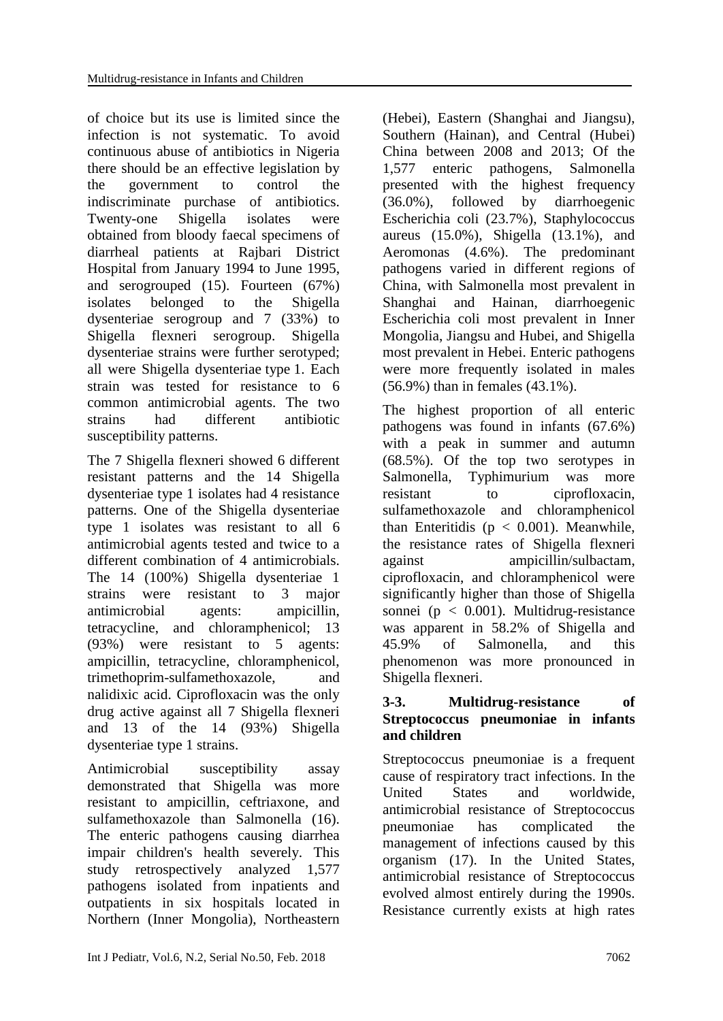of choice but its use is limited since the infection is not systematic. To avoid continuous abuse of antibiotics in Nigeria there should be an effective legislation by the government to control the indiscriminate purchase of antibiotics. Twenty-one Shigella isolates were obtained from bloody faecal specimens of diarrheal patients at Rajbari District Hospital from January 1994 to June 1995, and serogrouped (15). Fourteen (67%) isolates belonged to the Shigella dysenteriae serogroup and 7 (33%) to Shigella flexneri serogroup. Shigella dysenteriae strains were further serotyped; all were Shigella dysenteriae type 1. Each strain was tested for resistance to 6 common antimicrobial agents. The two strains had different antibiotic susceptibility patterns.

The 7 Shigella flexneri showed 6 different resistant patterns and the 14 Shigella dysenteriae type 1 isolates had 4 resistance patterns. One of the Shigella dysenteriae type 1 isolates was resistant to all 6 antimicrobial agents tested and twice to a different combination of 4 antimicrobials. The 14 (100%) Shigella dysenteriae 1 strains were resistant to 3 major antimicrobial agents: ampicillin, tetracycline, and chloramphenicol; 13 (93%) were resistant to 5 agents: ampicillin, tetracycline, chloramphenicol, trimethoprim-sulfamethoxazole, and nalidixic acid. Ciprofloxacin was the only drug active against all 7 Shigella flexneri and 13 of the 14 (93%) Shigella dysenteriae type 1 strains.

Antimicrobial susceptibility assay demonstrated that Shigella was more resistant to ampicillin, ceftriaxone, and sulfamethoxazole than Salmonella (16). The enteric pathogens causing diarrhea impair children's health severely. This study retrospectively analyzed 1,577 pathogens isolated from inpatients and outpatients in six hospitals located in Northern (Inner Mongolia), Northeastern

(Hebei), Eastern (Shanghai and Jiangsu), Southern (Hainan), and Central (Hubei) China between 2008 and 2013; Of the 1,577 enteric pathogens, Salmonella presented with the highest frequency (36.0%), followed by diarrhoegenic Escherichia coli (23.7%), Staphylococcus aureus (15.0%), Shigella (13.1%), and Aeromonas (4.6%). The predominant pathogens varied in different regions of China, with Salmonella most prevalent in Shanghai and Hainan, diarrhoegenic Escherichia coli most prevalent in Inner Mongolia, Jiangsu and Hubei, and Shigella most prevalent in Hebei. Enteric pathogens were more frequently isolated in males (56.9%) than in females (43.1%).

The highest proportion of all enteric pathogens was found in infants (67.6%) with a peak in summer and autumn (68.5%). Of the top two serotypes in Salmonella, Typhimurium was more resistant to ciprofloxacin, sulfamethoxazole and chloramphenicol than Enteritidis ( $p < 0.001$ ). Meanwhile, the resistance rates of Shigella flexneri against ampicillin/sulbactam, ciprofloxacin, and chloramphenicol were significantly higher than those of Shigella sonnei ( $p < 0.001$ ). Multidrug-resistance was apparent in 58.2% of Shigella and 45.9% of Salmonella, and this phenomenon was more pronounced in Shigella flexneri.

### **3-3. Multidrug-resistance of Streptococcus pneumoniae in infants and children**

Streptococcus pneumoniae is a frequent cause of respiratory tract infections. In the United States and worldwide, antimicrobial resistance of Streptococcus pneumoniae has complicated the management of infections caused by this organism (17). In the United States, antimicrobial resistance of Streptococcus evolved almost entirely during the 1990s. Resistance currently exists at high rates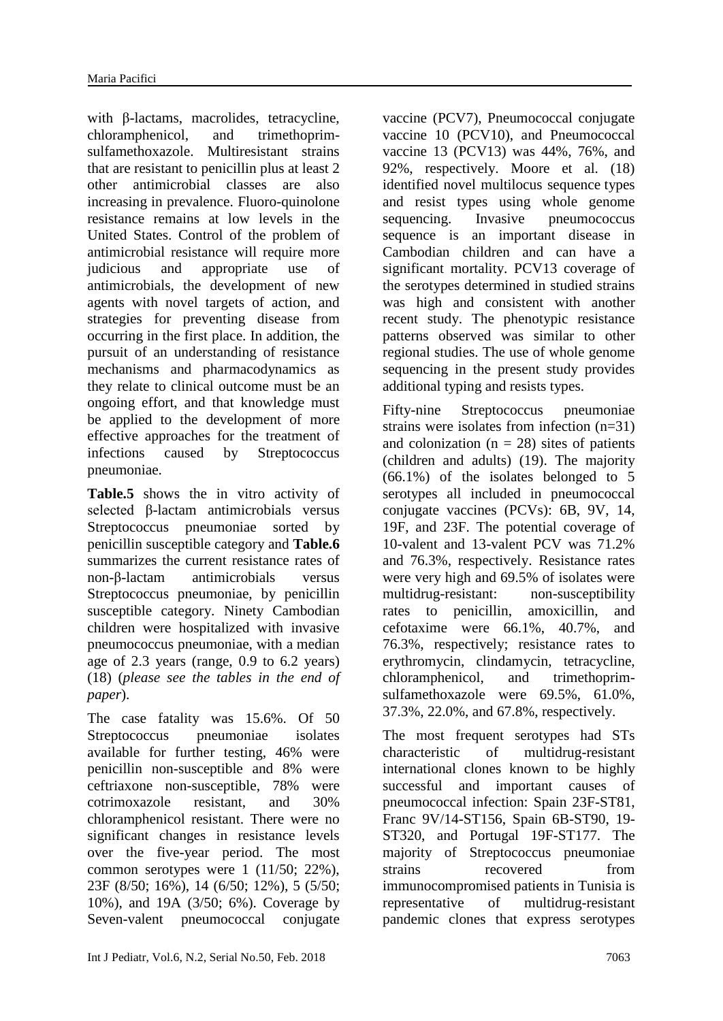with β-lactams, macrolides, tetracycline, chloramphenicol, and trimethoprimsulfamethoxazole. Multiresistant strains that are resistant to penicillin plus at least 2 other antimicrobial classes are also increasing in prevalence. Fluoro-quinolone resistance remains at low levels in the United States. Control of the problem of antimicrobial resistance will require more judicious and appropriate use of antimicrobials, the development of new agents with novel targets of action, and strategies for preventing disease from occurring in the first place. In addition, the pursuit of an understanding of resistance mechanisms and pharmacodynamics as they relate to clinical outcome must be an ongoing effort, and that knowledge must be applied to the development of more effective approaches for the treatment of infections caused by Streptococcus pneumoniae.

**Table.5** shows the in vitro activity of selected β-lactam antimicrobials versus Streptococcus pneumoniae sorted by penicillin susceptible category and **Table.6** summarizes the current resistance rates of non-β-lactam antimicrobials versus Streptococcus pneumoniae, by penicillin susceptible category. Ninety Cambodian children were hospitalized with invasive pneumococcus pneumoniae, with a median age of 2.3 years (range, 0.9 to 6.2 years) (18) (*please see the tables in the end of paper*).

The case fatality was 15.6%. Of 50 Streptococcus pneumoniae isolates available for further testing, 46% were penicillin non-susceptible and 8% were ceftriaxone non-susceptible, 78% were cotrimoxazole resistant, and 30% chloramphenicol resistant. There were no significant changes in resistance levels over the five-year period. The most common serotypes were  $1$  (11/50; 22%), 23F (8/50; 16%), 14 (6/50; 12%), 5 (5/50; 10%), and 19A (3/50; 6%). Coverage by Seven-valent pneumococcal conjugate

vaccine (PCV7), Pneumococcal conjugate vaccine 10 (PCV10), and Pneumococcal vaccine 13 (PCV13) was 44%, 76%, and 92%, respectively. Moore et al. (18) identified novel multilocus sequence types and resist types using whole genome sequencing. Invasive pneumococcus sequence is an important disease in Cambodian children and can have a significant mortality. PCV13 coverage of the serotypes determined in studied strains was high and consistent with another recent study. The phenotypic resistance patterns observed was similar to other regional studies. The use of whole genome sequencing in the present study provides additional typing and resists types.

Fifty-nine Streptococcus pneumoniae strains were isolates from infection (n=31) and colonization  $(n = 28)$  sites of patients (children and adults) (19). The majority (66.1%) of the isolates belonged to 5 serotypes all included in pneumococcal conjugate vaccines (PCVs): 6B, 9V, 14, 19F, and 23F. The potential coverage of 10-valent and 13-valent PCV was 71.2% and 76.3%, respectively. Resistance rates were very high and 69.5% of isolates were multidrug-resistant: non-susceptibility rates to penicillin, amoxicillin, and cefotaxime were 66.1%, 40.7%, and 76.3%, respectively; resistance rates to erythromycin, clindamycin, tetracycline, chloramphenicol, and trimethoprimsulfamethoxazole were 69.5%, 61.0%, 37.3%, 22.0%, and 67.8%, respectively.

The most frequent serotypes had STs characteristic of multidrug-resistant international clones known to be highly successful and important causes of pneumococcal infection: Spain 23F-ST81, Franc 9V/14-ST156, Spain 6B-ST90, 19- ST320, and Portugal 19F-ST177. The majority of Streptococcus pneumoniae strains recovered from immunocompromised patients in Tunisia is representative of multidrug-resistant pandemic clones that express serotypes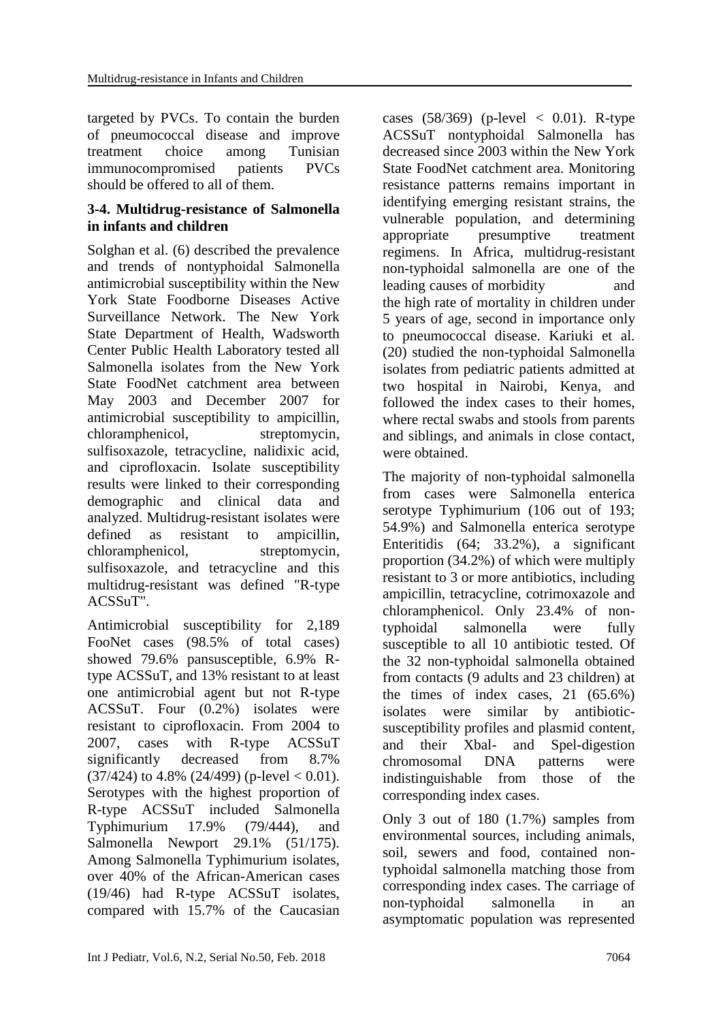targeted by PVCs. To contain the burden of pneumococcal disease and improve treatment choice among Tunisian immunocompromised patients PVCs should be offered to all of them.

#### **3-4. Multidrug-resistance of Salmonella in infants and children**

Solghan et al. (6) described the prevalence and trends of nontyphoidal Salmonella antimicrobial susceptibility within the New York State Foodborne Diseases Active Surveillance Network. The New York State Department of Health, Wadsworth Center Public Health Laboratory tested all Salmonella isolates from the New York State FoodNet catchment area between May 2003 and December 2007 for antimicrobial susceptibility to ampicillin, chloramphenicol, streptomycin, sulfisoxazole, tetracycline, nalidixic acid, and ciprofloxacin. Isolate susceptibility results were linked to their corresponding demographic and clinical data and analyzed. Multidrug-resistant isolates were defined as resistant to ampicillin, chloramphenicol, streptomycin, sulfisoxazole, and tetracycline and this multidrug-resistant was defined "R-type ACSSuT".

Antimicrobial susceptibility for 2,189 FooNet cases (98.5% of total cases) showed 79.6% pansusceptible, 6.9% Rtype ACSSuT, and 13% resistant to at least one antimicrobial agent but not R-type ACSSuT. Four (0.2%) isolates were resistant to ciprofloxacin. From 2004 to 2007, cases with R-type ACSSuT significantly decreased from 8.7%  $(37/424)$  to 4.8%  $(24/499)$  (p-level  $< 0.01$ ). Serotypes with the highest proportion of R-type ACSSuT included Salmonella Typhimurium 17.9% (79/444), and Salmonella Newport 29.1% (51/175). Among Salmonella Typhimurium isolates, over 40% of the African-American cases (19/46) had R-type ACSSuT isolates, compared with 15.7% of the Caucasian cases  $(58/369)$  (p-level  $\lt$  0.01). R-type ACSSuT nontyphoidal Salmonella has decreased since 2003 within the New York State FoodNet catchment area. Monitoring resistance patterns remains important in identifying emerging resistant strains, the vulnerable population, and determining appropriate presumptive treatment regimens. In Africa, multidrug-resistant non-typhoidal salmonella are one of the leading causes of morbidity and the high rate of mortality in children under 5 years of age, second in importance only to pneumococcal disease. Kariuki et al. (20) studied the non-typhoidal Salmonella isolates from pediatric patients admitted at two hospital in Nairobi, Kenya, and followed the index cases to their homes, where rectal swabs and stools from parents and siblings, and animals in close contact, were obtained.

The majority of non-typhoidal salmonella from cases were Salmonella enterica serotype Typhimurium (106 out of 193; 54.9%) and Salmonella enterica serotype Enteritidis (64; 33.2%), a significant proportion (34.2%) of which were multiply resistant to 3 or more antibiotics, including ampicillin, tetracycline, cotrimoxazole and chloramphenicol. Only 23.4% of nontyphoidal salmonella were fully susceptible to all 10 antibiotic tested. Of the 32 non-typhoidal salmonella obtained from contacts (9 adults and 23 children) at the times of index cases,  $21$   $(65.6\%)$ isolates were similar by antibioticsusceptibility profiles and plasmid content, and their Xbal- and Spel-digestion chromosomal DNA patterns were indistinguishable from those of the corresponding index cases.

Only 3 out of 180 (1.7%) samples from environmental sources, including animals, soil, sewers and food, contained nontyphoidal salmonella matching those from corresponding index cases. The carriage of non-typhoidal salmonella in an asymptomatic population was represented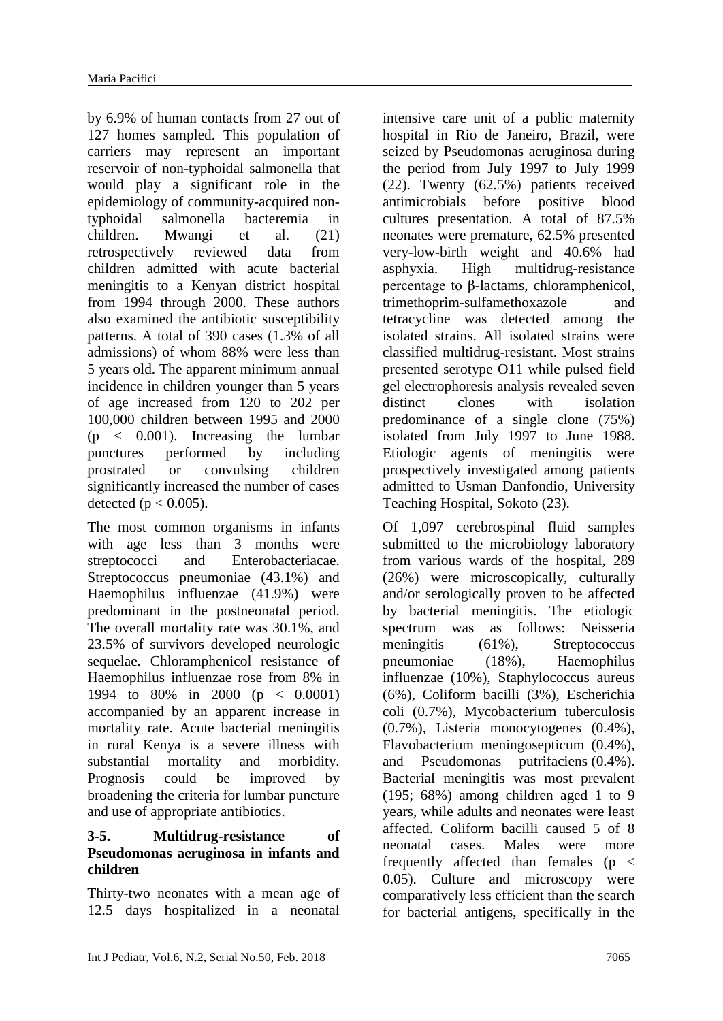by 6.9% of human contacts from 27 out of 127 homes sampled. This population of carriers may represent an important reservoir of non-typhoidal salmonella that would play a significant role in the epidemiology of community-acquired nontyphoidal salmonella bacteremia in children. Mwangi et al. (21) retrospectively reviewed data from children admitted with acute bacterial meningitis to a Kenyan district hospital from 1994 through 2000. These authors also examined the antibiotic susceptibility patterns. A total of 390 cases (1.3% of all admissions) of whom 88% were less than 5 years old. The apparent minimum annual incidence in children younger than 5 years of age increased from 120 to 202 per 100,000 children between 1995 and 2000 (p < 0.001). Increasing the lumbar punctures performed by including prostrated or convulsing children significantly increased the number of cases detected ( $p < 0.005$ ).

The most common organisms in infants with age less than 3 months were streptococci and Enterobacteriacae. Streptococcus pneumoniae (43.1%) and Haemophilus influenzae (41.9%) were predominant in the postneonatal period. The overall mortality rate was 30.1%, and 23.5% of survivors developed neurologic sequelae. Chloramphenicol resistance of Haemophilus influenzae rose from 8% in 1994 to 80% in 2000 (p < 0.0001) accompanied by an apparent increase in mortality rate. Acute bacterial meningitis in rural Kenya is a severe illness with substantial mortality and morbidity. Prognosis could be improved by broadening the criteria for lumbar puncture and use of appropriate antibiotics.

### **3-5. Multidrug-resistance of Pseudomonas aeruginosa in infants and children**

Thirty-two neonates with a mean age of 12.5 days hospitalized in a neonatal

intensive care unit of a public maternity hospital in Rio de Janeiro, Brazil, were seized by Pseudomonas aeruginosa during the period from July 1997 to July 1999 (22). Twenty (62.5%) patients received antimicrobials before positive blood cultures presentation. A total of 87.5% neonates were premature, 62.5% presented very-low-birth weight and 40.6% had asphyxia. High multidrug-resistance percentage to β-lactams, chloramphenicol, trimethoprim-sulfamethoxazole and tetracycline was detected among the isolated strains. All isolated strains were classified multidrug-resistant. Most strains presented serotype O11 while pulsed field gel electrophoresis analysis revealed seven distinct clones with isolation predominance of a single clone (75%) isolated from July 1997 to June 1988. Etiologic agents of meningitis were prospectively investigated among patients admitted to Usman Danfondio, University Teaching Hospital, Sokoto (23).

Of 1,097 cerebrospinal fluid samples submitted to the microbiology laboratory from various wards of the hospital, 289 (26%) were microscopically, culturally and/or serologically proven to be affected by bacterial meningitis. The etiologic spectrum was as follows: Neisseria meningitis (61%), Streptococcus pneumoniae (18%), Haemophilus influenzae (10%), Staphylococcus aureus (6%), Coliform bacilli (3%), Escherichia coli (0.7%), Mycobacterium tuberculosis (0.7%), Listeria monocytogenes (0.4%), Flavobacterium meningosepticum (0.4%), and Pseudomonas putrifaciens (0.4%). Bacterial meningitis was most prevalent (195; 68%) among children aged 1 to 9 years, while adults and neonates were least affected. Coliform bacilli caused 5 of 8 neonatal cases. Males were more frequently affected than females ( $p \le$ 0.05). Culture and microscopy were comparatively less efficient than the search for bacterial antigens, specifically in the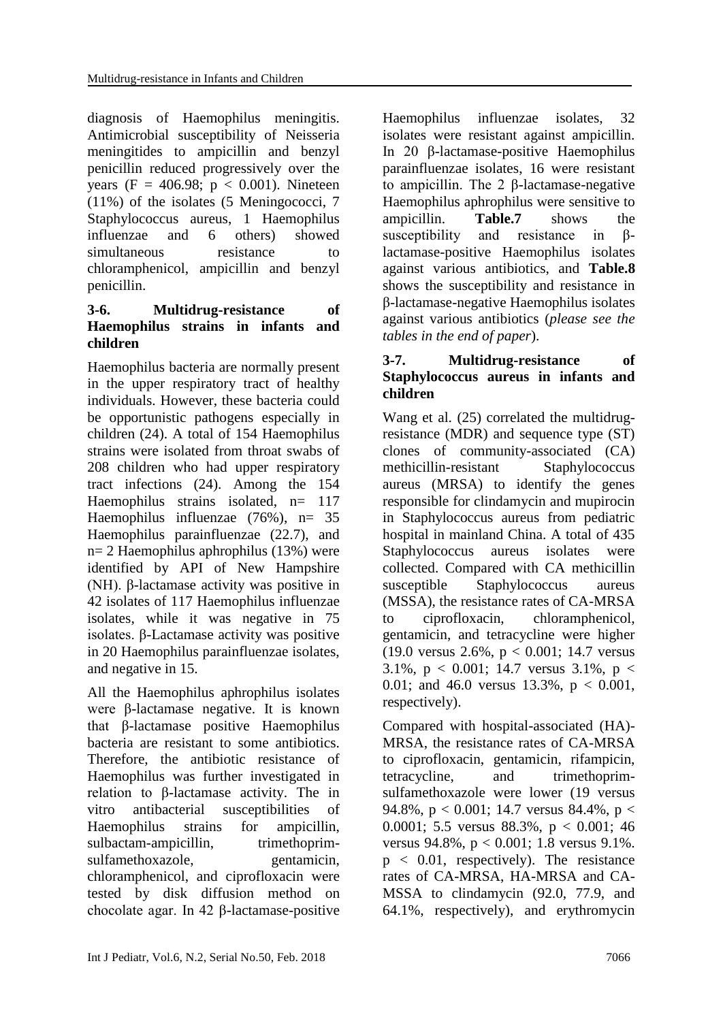diagnosis of Haemophilus meningitis. Antimicrobial susceptibility of Neisseria meningitides to ampicillin and benzyl penicillin reduced progressively over the years (F = 406.98;  $p < 0.001$ ). Nineteen (11%) of the isolates (5 Meningococci, 7 Staphylococcus aureus, 1 Haemophilus influenzae and 6 others) showed simultaneous resistance to chloramphenicol, ampicillin and benzyl penicillin.

#### **3-6. Multidrug-resistance of Haemophilus strains in infants and children**

Haemophilus bacteria are normally present in the upper respiratory tract of healthy individuals. However, these bacteria could be opportunistic pathogens especially in children (24). A total of 154 Haemophilus strains were isolated from throat swabs of 208 children who had upper respiratory tract infections (24). Among the 154 Haemophilus strains isolated,  $n= 117$ Haemophilus influenzae (76%), n= 35 Haemophilus parainfluenzae (22.7), and n= 2 Haemophilus aphrophilus (13%) were identified by API of New Hampshire (NH). β-lactamase activity was positive in 42 isolates of 117 Haemophilus influenzae isolates, while it was negative in 75 isolates. β-Lactamase activity was positive in 20 Haemophilus parainfluenzae isolates, and negative in 15.

All the Haemophilus aphrophilus isolates were β-lactamase negative. It is known that β-lactamase positive Haemophilus bacteria are resistant to some antibiotics. Therefore, the antibiotic resistance of Haemophilus was further investigated in relation to β-lactamase activity. The in vitro antibacterial susceptibilities of Haemophilus strains for ampicillin, sulbactam-ampicillin, trimethoprimsulfamethoxazole, gentamicin, chloramphenicol, and ciprofloxacin were tested by disk diffusion method on chocolate agar. In 42 β-lactamase-positive

Haemophilus influenzae isolates, 32 isolates were resistant against ampicillin. In 20 β-lactamase-positive Haemophilus parainfluenzae isolates, 16 were resistant to ampicillin. The 2 β-lactamase-negative Haemophilus aphrophilus were sensitive to ampicillin. **Table.7** shows the susceptibility and resistance in βlactamase-positive Haemophilus isolates against various antibiotics, and **Table.8** shows the susceptibility and resistance in β-lactamase-negative Haemophilus isolates against various antibiotics (*please see the tables in the end of paper*).

### **3-7. Multidrug-resistance of Staphylococcus aureus in infants and children**

Wang et al. (25) correlated the multidrugresistance (MDR) and sequence type (ST) clones of community-associated (CA) methicillin-resistant Staphylococcus aureus (MRSA) to identify the genes responsible for clindamycin and mupirocin in Staphylococcus aureus from pediatric hospital in mainland China. A total of 435 Staphylococcus aureus isolates were collected. Compared with CA methicillin susceptible Staphylococcus aureus (MSSA), the resistance rates of CA-MRSA to ciprofloxacin, chloramphenicol, gentamicin, and tetracycline were higher (19.0 versus 2.6%, p < 0.001; 14.7 versus 3.1%,  $p < 0.001$ ; 14.7 versus 3.1%,  $p <$ 0.01; and 46.0 versus 13.3%, p < 0.001, respectively).

Compared with hospital-associated (HA)- MRSA, the resistance rates of CA-MRSA to ciprofloxacin, gentamicin, rifampicin, tetracycline, and trimethoprimsulfamethoxazole were lower (19 versus 94.8%, p < 0.001; 14.7 versus 84.4%, p < 0.0001; 5.5 versus 88.3%, p < 0.001; 46 versus 94.8%, p < 0.001; 1.8 versus 9.1%.  $p \leq 0.01$ , respectively). The resistance rates of CA-MRSA, HA-MRSA and CA-MSSA to clindamycin (92.0, 77.9, and 64.1%, respectively), and erythromycin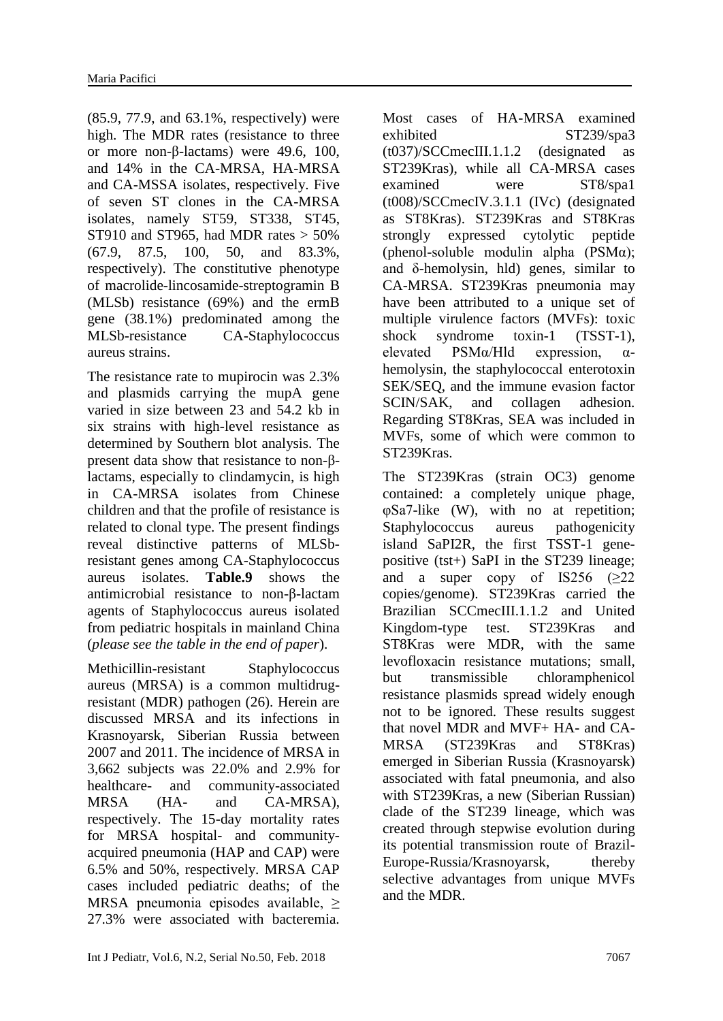(85.9, 77.9, and 63.1%, respectively) were high. The MDR rates (resistance to three or more non-β-lactams) were 49.6, 100, and 14% in the CA-MRSA, HA-MRSA and CA-MSSA isolates, respectively. Five of seven ST clones in the CA-MRSA isolates, namely ST59, ST338, ST45, ST910 and ST965, had MDR rates  $>$  50% (67.9, 87.5, 100, 50, and 83.3%, respectively). The constitutive phenotype of macrolide-lincosamide-streptogramin B (MLSb) resistance (69%) and the ermB gene (38.1%) predominated among the MLSb-resistance CA-Staphylococcus aureus strains.

The resistance rate to mupirocin was 2.3% and plasmids carrying the mupA gene varied in size between 23 and 54.2 kb in six strains with high-level resistance as determined by Southern blot analysis. The present data show that resistance to non-βlactams, especially to clindamycin, is high in CA-MRSA isolates from Chinese children and that the profile of resistance is related to clonal type. The present findings reveal distinctive patterns of MLSbresistant genes among CA-Staphylococcus aureus isolates. **Table.9** shows the antimicrobial resistance to non-β-lactam agents of Staphylococcus aureus isolated from pediatric hospitals in mainland China (*please see the table in the end of paper*).

Methicillin-resistant Staphylococcus aureus (MRSA) is a common multidrugresistant (MDR) pathogen (26). Herein are discussed MRSA and its infections in Krasnoyarsk, Siberian Russia between 2007 and 2011. The incidence of MRSA in 3,662 subjects was 22.0% and 2.9% for healthcare- and community-associated MRSA (HA- and CA-MRSA), respectively. The 15-day mortality rates for MRSA hospital- and communityacquired pneumonia (HAP and CAP) were 6.5% and 50%, respectively. MRSA CAP cases included pediatric deaths; of the MRSA pneumonia episodes available,  $\geq$ 27.3% were associated with bacteremia.

Most cases of HA-MRSA examined exhibited ST239/spa3 (t037)/SCCmecIII.1.1.2 (designated as ST239Kras), while all CA-MRSA cases examined were ST8/spa1 (t008)/SCCmecIV.3.1.1 (IVc) (designated as ST8Kras). ST239Kras and ST8Kras strongly expressed cytolytic peptide (phenol-soluble modulin alpha  $(PSM\alpha)$ ; and δ-hemolysin, hld) genes, similar to CA-MRSA. ST239Kras pneumonia may have been attributed to a unique set of multiple virulence factors (MVFs): toxic shock syndrome toxin-1 (TSST-1), elevated PSMα/Hld expression, αhemolysin, the staphylococcal enterotoxin SEK/SEQ, and the immune evasion factor SCIN/SAK, and collagen adhesion. Regarding ST8Kras, SEA was included in MVFs, some of which were common to ST239Kras.

The ST239Kras (strain OC3) genome contained: a completely unique phage, φSa7-like (W), with no at repetition; Staphylococcus aureus pathogenicity island SaPI2R, the first TSST-1 genepositive (tst+) SaPI in the ST239 lineage; and a super copy of  $IS256$  ( $>22$ ) copies/genome). ST239Kras carried the Brazilian SCCmecIII.1.1.2 and United Kingdom-type test. ST239Kras and ST8Kras were MDR, with the same levofloxacin resistance mutations; small, but transmissible chloramphenicol resistance plasmids spread widely enough not to be ignored. These results suggest that novel MDR and MVF+ HA- and CA-MRSA (ST239Kras and ST8Kras) emerged in Siberian Russia (Krasnoyarsk) associated with fatal pneumonia, and also with ST239Kras, a new (Siberian Russian) clade of the ST239 lineage, which was created through stepwise evolution during its potential transmission route of Brazil-Europe-Russia/Krasnoyarsk, thereby selective advantages from unique MVFs and the MDR.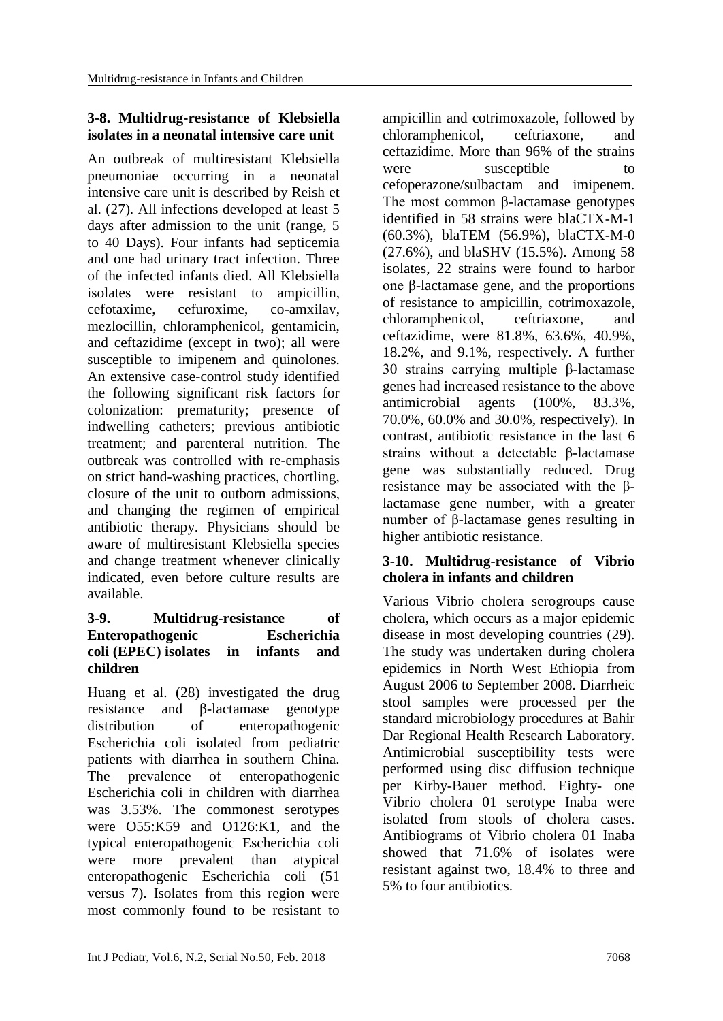### **3-8. Multidrug-resistance of Klebsiella isolates in a neonatal intensive care unit**

An outbreak of multiresistant Klebsiella pneumoniae occurring in a neonatal intensive care unit is described by Reish et al. (27). All infections developed at least 5 days after admission to the unit (range, 5 to 40 Days). Four infants had septicemia and one had urinary tract infection. Three of the infected infants died. All Klebsiella isolates were resistant to ampicillin, cefotaxime, cefuroxime, co-amxilav, mezlocillin, chloramphenicol, gentamicin, and ceftazidime (except in two); all were susceptible to imipenem and quinolones. An extensive case-control study identified the following significant risk factors for colonization: prematurity; presence of indwelling catheters; previous antibiotic treatment; and parenteral nutrition. The outbreak was controlled with re-emphasis on strict hand-washing practices, chortling, closure of the unit to outborn admissions, and changing the regimen of empirical antibiotic therapy. Physicians should be aware of multiresistant Klebsiella species and change treatment whenever clinically indicated, even before culture results are available.

### **3-9. Multidrug-resistance of Enteropathogenic Escherichia coli (EPEC) isolates in infants and children**

Huang et al. (28) investigated the drug resistance and β-lactamase genotype distribution of enteropathogenic Escherichia coli isolated from pediatric patients with diarrhea in southern China. The prevalence of enteropathogenic Escherichia coli in children with diarrhea was 3.53%. The commonest serotypes were O55:K59 and O126:K1, and the typical enteropathogenic Escherichia coli were more prevalent than atypical enteropathogenic Escherichia coli (51 versus 7). Isolates from this region were most commonly found to be resistant to

ampicillin and cotrimoxazole, followed by chloramphenicol, ceftriaxone, and ceftazidime. More than 96% of the strains were susceptible to cefoperazone/sulbactam and imipenem. The most common β-lactamase genotypes identified in 58 strains were blaCTX-M-1 (60.3%), blaTEM (56.9%), blaCTX-M-0 (27.6%), and blaSHV (15.5%). Among 58 isolates, 22 strains were found to harbor one β-lactamase gene, and the proportions of resistance to ampicillin, cotrimoxazole, chloramphenicol, ceftriaxone, and ceftazidime, were 81.8%, 63.6%, 40.9%, 18.2%, and 9.1%, respectively. A further 30 strains carrying multiple β-lactamase genes had increased resistance to the above antimicrobial agents (100%, 83.3%, 70.0%, 60.0% and 30.0%, respectively). In contrast, antibiotic resistance in the last 6 strains without a detectable β-lactamase gene was substantially reduced. Drug resistance may be associated with the βlactamase gene number, with a greater number of β-lactamase genes resulting in higher antibiotic resistance.

### **3-10. Multidrug-resistance of Vibrio cholera in infants and children**

Various Vibrio cholera serogroups cause cholera, which occurs as a major epidemic disease in most developing countries (29). The study was undertaken during cholera epidemics in North West Ethiopia from August 2006 to September 2008. Diarrheic stool samples were processed per the standard microbiology procedures at Bahir Dar Regional Health Research Laboratory. Antimicrobial susceptibility tests were performed using disc diffusion technique per Kirby-Bauer method. Eighty- one Vibrio cholera 01 serotype Inaba were isolated from stools of cholera cases. Antibiograms of Vibrio cholera 01 Inaba showed that 71.6% of isolates were resistant against two, 18.4% to three and 5% to four antibiotics.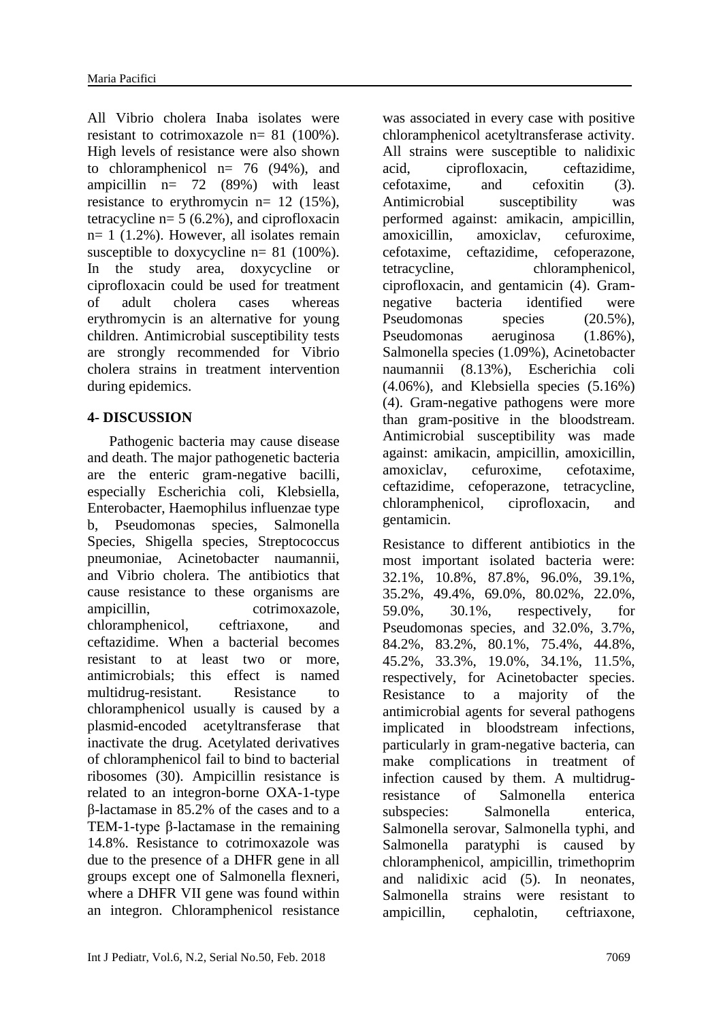All Vibrio cholera Inaba isolates were resistant to cotrimoxazole n= 81 (100%). High levels of resistance were also shown to chloramphenicol  $n= 76$  (94%), and ampicillin n= 72 (89%) with least resistance to erythromycin n= 12 (15%), tetracycline  $n= 5$  (6.2%), and ciprofloxacin  $n= 1$  (1.2%). However, all isolates remain susceptible to doxycycline  $n= 81$  (100%). In the study area, doxycycline or ciprofloxacin could be used for treatment of adult cholera cases whereas erythromycin is an alternative for young children. Antimicrobial susceptibility tests are strongly recommended for Vibrio cholera strains in treatment intervention during epidemics.

#### **4- DISCUSSION**

 Pathogenic bacteria may cause disease and death. The major pathogenetic bacteria are the enteric gram-negative bacilli, especially Escherichia coli, Klebsiella, Enterobacter, Haemophilus influenzae type b, Pseudomonas species, Salmonella Species, Shigella species, Streptococcus pneumoniae, Acinetobacter naumannii, and Vibrio cholera. The antibiotics that cause resistance to these organisms are ampicillin, cotrimoxazole, chloramphenicol, ceftriaxone, and ceftazidime. When a bacterial becomes resistant to at least two or more, antimicrobials; this effect is named multidrug-resistant. Resistance to chloramphenicol usually is caused by a plasmid-encoded acetyltransferase that inactivate the drug. Acetylated derivatives of chloramphenicol fail to bind to bacterial ribosomes (30). Ampicillin resistance is related to an integron-borne OXA-1-type β-lactamase in 85.2% of the cases and to a TEM-1-type β-lactamase in the remaining 14.8%. Resistance to cotrimoxazole was due to the presence of a DHFR gene in all groups except one of Salmonella flexneri, where a DHFR VII gene was found within an integron. Chloramphenicol resistance

was associated in every case with positive chloramphenicol acetyltransferase activity. All strains were susceptible to nalidixic acid, ciprofloxacin, ceftazidime, cefotaxime, and cefoxitin (3). Antimicrobial susceptibility was performed against: amikacin, ampicillin, amoxicillin, amoxiclav, cefuroxime, cefotaxime, ceftazidime, cefoperazone, tetracycline, chloramphenicol, ciprofloxacin, and gentamicin (4). Gramnegative bacteria identified were Pseudomonas species (20.5%), Pseudomonas aeruginosa (1.86%), Salmonella species (1.09%), Acinetobacter naumannii (8.13%), Escherichia coli (4.06%), and Klebsiella species (5.16%) (4). Gram-negative pathogens were more than gram-positive in the bloodstream. Antimicrobial susceptibility was made against: amikacin, ampicillin, amoxicillin, amoxiclav, cefuroxime, cefotaxime, ceftazidime, cefoperazone, tetracycline, chloramphenicol, ciprofloxacin, and gentamicin.

Resistance to different antibiotics in the most important isolated bacteria were: 32.1%, 10.8%, 87.8%, 96.0%, 39.1%, 35.2%, 49.4%, 69.0%, 80.02%, 22.0%, 59.0%, 30.1%, respectively, for Pseudomonas species, and 32.0%, 3.7%, 84.2%, 83.2%, 80.1%, 75.4%, 44.8%, 45.2%, 33.3%, 19.0%, 34.1%, 11.5%, respectively, for Acinetobacter species. Resistance to a majority of the antimicrobial agents for several pathogens implicated in bloodstream infections, particularly in gram-negative bacteria, can make complications in treatment of infection caused by them. A multidrugresistance of Salmonella enterica subspecies: Salmonella enterica, Salmonella serovar, Salmonella typhi, and Salmonella paratyphi is caused by chloramphenicol, ampicillin, trimethoprim and nalidixic acid (5). In neonates, Salmonella strains were resistant to ampicillin, cephalotin, ceftriaxone,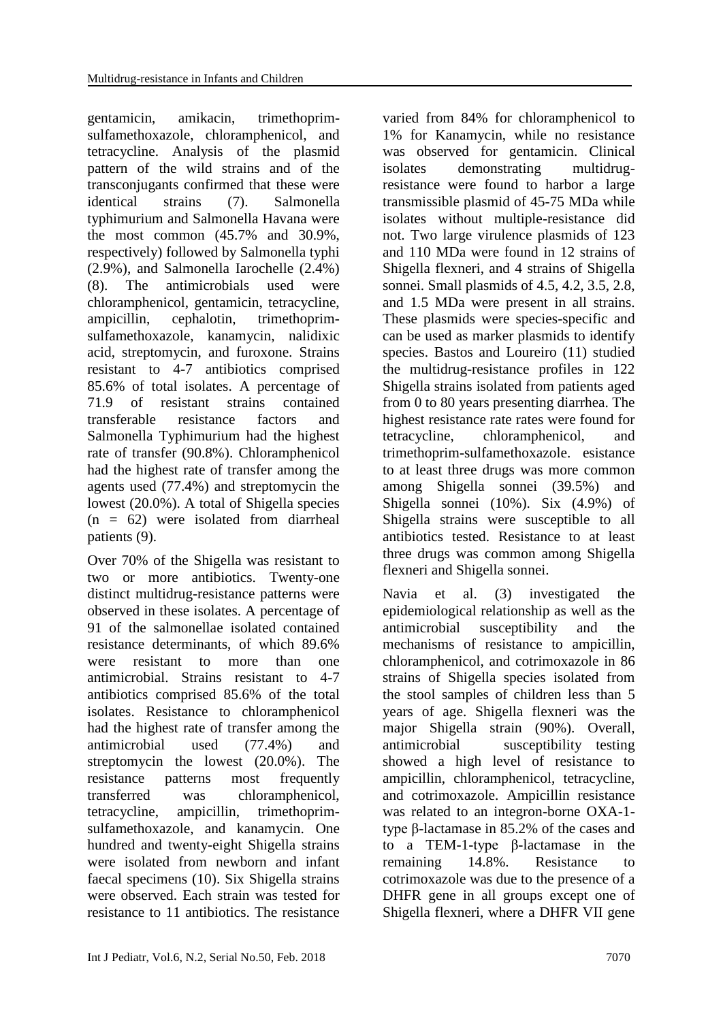gentamicin, amikacin, trimethoprimsulfamethoxazole, chloramphenicol, and tetracycline. Analysis of the plasmid pattern of the wild strains and of the transconjugants confirmed that these were identical strains (7). Salmonella typhimurium and Salmonella Havana were the most common (45.7% and 30.9%, respectively) followed by Salmonella typhi (2.9%), and Salmonella Iarochelle (2.4%) (8). The antimicrobials used were chloramphenicol, gentamicin, tetracycline, ampicillin, cephalotin, trimethoprimsulfamethoxazole, kanamycin, nalidixic acid, streptomycin, and furoxone. Strains resistant to 4-7 antibiotics comprised 85.6% of total isolates. A percentage of 71.9 of resistant strains contained transferable resistance factors and Salmonella Typhimurium had the highest rate of transfer (90.8%). Chloramphenicol had the highest rate of transfer among the agents used (77.4%) and streptomycin the lowest (20.0%). A total of Shigella species  $(n = 62)$  were isolated from diarrheal patients (9).

Over 70% of the Shigella was resistant to two or more antibiotics. Twenty-one distinct multidrug-resistance patterns were observed in these isolates. A percentage of 91 of the salmonellae isolated contained resistance determinants, of which 89.6% were resistant to more than one antimicrobial. Strains resistant to 4-7 antibiotics comprised 85.6% of the total isolates. Resistance to chloramphenicol had the highest rate of transfer among the antimicrobial used (77.4%) and streptomycin the lowest (20.0%). The resistance patterns most frequently transferred was chloramphenicol, tetracycline, ampicillin, trimethoprimsulfamethoxazole, and kanamycin. One hundred and twenty-eight Shigella strains were isolated from newborn and infant faecal specimens (10). Six Shigella strains were observed. Each strain was tested for resistance to 11 antibiotics. The resistance

varied from 84% for chloramphenicol to 1% for Kanamycin, while no resistance was observed for gentamicin. Clinical isolates demonstrating multidrugresistance were found to harbor a large transmissible plasmid of 45-75 MDa while isolates without multiple-resistance did not. Two large virulence plasmids of 123 and 110 MDa were found in 12 strains of Shigella flexneri, and 4 strains of Shigella sonnei. Small plasmids of 4.5, 4.2, 3.5, 2.8, and 1.5 MDa were present in all strains. These plasmids were species-specific and can be used as marker plasmids to identify species. Bastos and Loureiro (11) studied the multidrug-resistance profiles in 122 Shigella strains isolated from patients aged from 0 to 80 years presenting diarrhea. The highest resistance rate rates were found for tetracycline, chloramphenicol, and trimethoprim-sulfamethoxazole. esistance to at least three drugs was more common among Shigella sonnei (39.5%) and Shigella sonnei (10%). Six (4.9%) of Shigella strains were susceptible to all antibiotics tested. Resistance to at least three drugs was common among Shigella flexneri and Shigella sonnei.

Navia et al. (3) investigated the epidemiological relationship as well as the antimicrobial susceptibility and the mechanisms of resistance to ampicillin, chloramphenicol, and cotrimoxazole in 86 strains of Shigella species isolated from the stool samples of children less than 5 years of age. Shigella flexneri was the major Shigella strain (90%). Overall, antimicrobial susceptibility testing showed a high level of resistance to ampicillin, chloramphenicol, tetracycline, and cotrimoxazole. Ampicillin resistance was related to an integron-borne OXA-1 type β-lactamase in 85.2% of the cases and to a TEM-1-type β-lactamase in the remaining 14.8%. Resistance to cotrimoxazole was due to the presence of a DHFR gene in all groups except one of Shigella flexneri, where a DHFR VII gene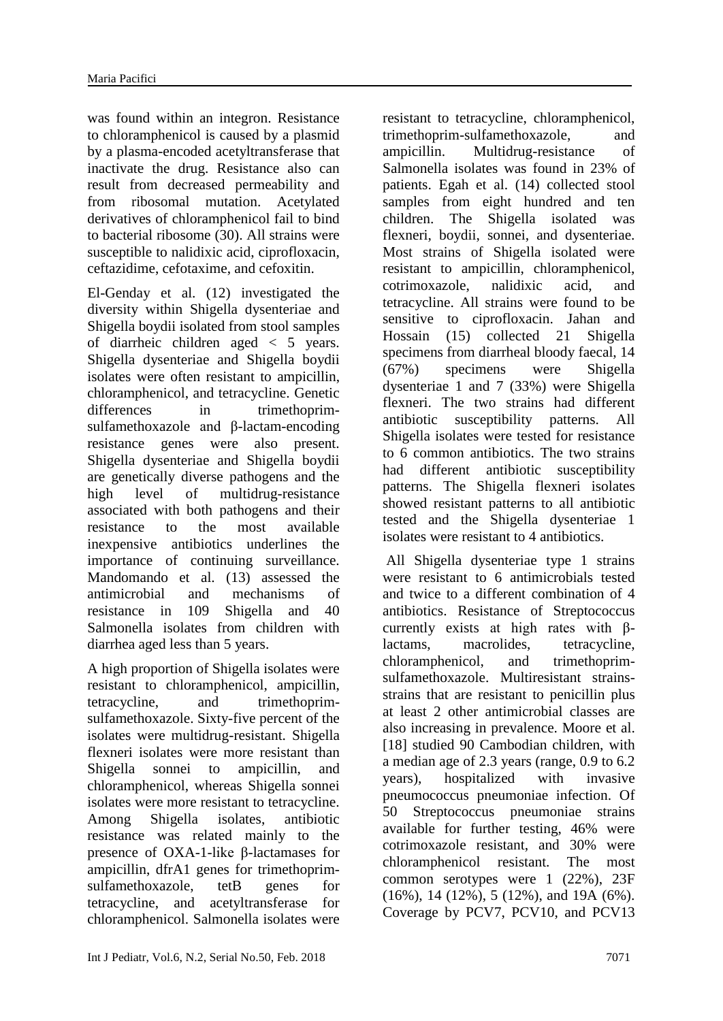was found within an integron. Resistance to chloramphenicol is caused by a plasmid by a plasma-encoded acetyltransferase that inactivate the drug. Resistance also can result from decreased permeability and from ribosomal mutation. Acetylated derivatives of chloramphenicol fail to bind to bacterial ribosome (30). All strains were susceptible to nalidixic acid, ciprofloxacin, ceftazidime, cefotaxime, and cefoxitin.

El-Genday et al. (12) investigated the diversity within Shigella dysenteriae and Shigella boydii isolated from stool samples of diarrheic children aged < 5 years. Shigella dysenteriae and Shigella boydii isolates were often resistant to ampicillin, chloramphenicol, and tetracycline. Genetic differences in trimethoprimsulfamethoxazole and β-lactam-encoding resistance genes were also present. Shigella dysenteriae and Shigella boydii are genetically diverse pathogens and the high level of multidrug-resistance associated with both pathogens and their resistance to the most available inexpensive antibiotics underlines the importance of continuing surveillance. Mandomando et al. (13) assessed the antimicrobial and mechanisms of resistance in 109 Shigella and 40 Salmonella isolates from children with diarrhea aged less than 5 years.

A high proportion of Shigella isolates were resistant to chloramphenicol, ampicillin, tetracycline, and trimethoprimsulfamethoxazole. Sixty-five percent of the isolates were multidrug-resistant. Shigella flexneri isolates were more resistant than Shigella sonnei to ampicillin, and chloramphenicol, whereas Shigella sonnei isolates were more resistant to tetracycline. Among Shigella isolates, antibiotic resistance was related mainly to the presence of OXA-1-like β-lactamases for ampicillin, dfrA1 genes for trimethoprimsulfamethoxazole, tetB genes for tetracycline, and acetyltransferase for chloramphenicol. Salmonella isolates were

resistant to tetracycline, chloramphenicol, trimethoprim-sulfamethoxazole, and ampicillin. Multidrug-resistance of Salmonella isolates was found in 23% of patients. Egah et al. (14) collected stool samples from eight hundred and ten children. The Shigella isolated was flexneri, boydii, sonnei, and dysenteriae. Most strains of Shigella isolated were resistant to ampicillin, chloramphenicol, cotrimoxazole, nalidixic acid, and tetracycline. All strains were found to be sensitive to ciprofloxacin. Jahan and Hossain (15) collected 21 Shigella specimens from diarrheal bloody faecal, 14 (67%) specimens were Shigella dysenteriae 1 and 7 (33%) were Shigella flexneri. The two strains had different antibiotic susceptibility patterns. All Shigella isolates were tested for resistance to 6 common antibiotics. The two strains had different antibiotic susceptibility patterns. The Shigella flexneri isolates showed resistant patterns to all antibiotic tested and the Shigella dysenteriae 1 isolates were resistant to 4 antibiotics.

All Shigella dysenteriae type 1 strains were resistant to 6 antimicrobials tested and twice to a different combination of 4 antibiotics. Resistance of Streptococcus currently exists at high rates with βlactams, macrolides, tetracycline, chloramphenicol, and trimethoprimsulfamethoxazole. Multiresistant strainsstrains that are resistant to penicillin plus at least 2 other antimicrobial classes are also increasing in prevalence. Moore et al. [18] studied 90 Cambodian children, with a median age of 2.3 years (range, 0.9 to 6.2 years), hospitalized with invasive pneumococcus pneumoniae infection. Of 50 Streptococcus pneumoniae strains available for further testing, 46% were cotrimoxazole resistant, and 30% were chloramphenicol resistant. The most common serotypes were 1 (22%), 23F (16%), 14 (12%), 5 (12%), and 19A (6%). Coverage by PCV7, PCV10, and PCV13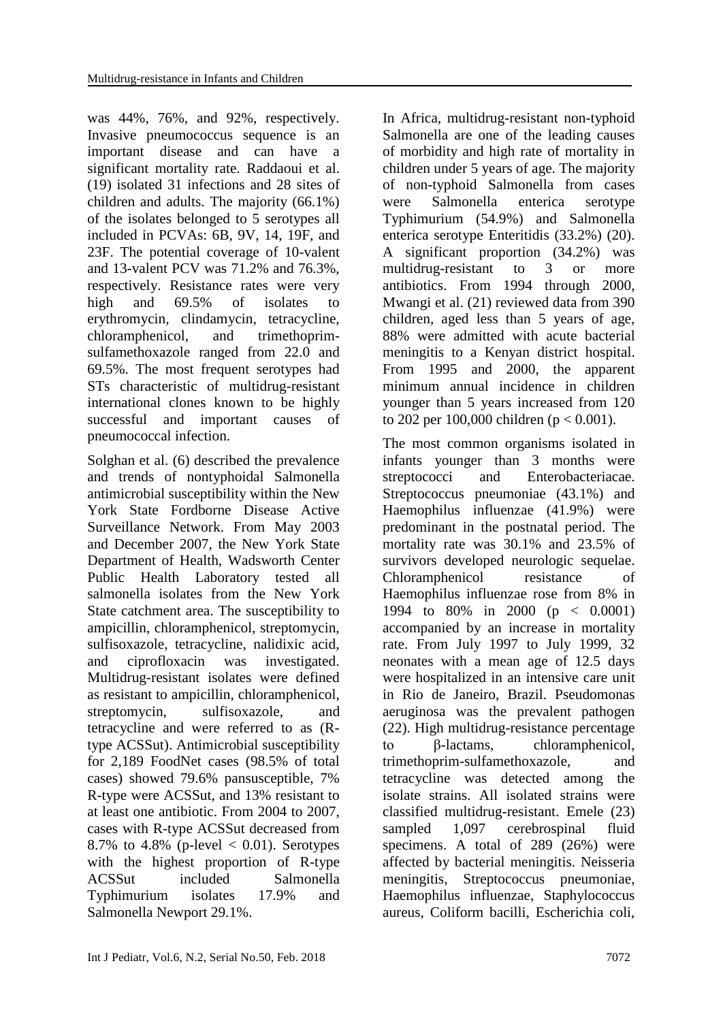was 44%, 76%, and 92%, respectively. Invasive pneumococcus sequence is an important disease and can have a significant mortality rate. Raddaoui et al. (19) isolated 31 infections and 28 sites of children and adults. The majority (66.1%) of the isolates belonged to 5 serotypes all included in PCVAs: 6B, 9V, 14, 19F, and 23F. The potential coverage of 10-valent and 13-valent PCV was 71.2% and 76.3%, respectively. Resistance rates were very high and 69.5% of isolates to erythromycin, clindamycin, tetracycline, chloramphenicol, and trimethoprimsulfamethoxazole ranged from 22.0 and 69.5%. The most frequent serotypes had STs characteristic of multidrug-resistant international clones known to be highly successful and important causes of pneumococcal infection.

Solghan et al. (6) described the prevalence and trends of nontyphoidal Salmonella antimicrobial susceptibility within the New York State Fordborne Disease Active Surveillance Network. From May 2003 and December 2007, the New York State Department of Health, Wadsworth Center Public Health Laboratory tested all salmonella isolates from the New York State catchment area. The susceptibility to ampicillin, chloramphenicol, streptomycin, sulfisoxazole, tetracycline, nalidixic acid, and ciprofloxacin was investigated. Multidrug-resistant isolates were defined as resistant to ampicillin, chloramphenicol, streptomycin, sulfisoxazole, and tetracycline and were referred to as (Rtype ACSSut). Antimicrobial susceptibility for 2,189 FoodNet cases (98.5% of total cases) showed 79.6% pansusceptible, 7% R-type were ACSSut, and 13% resistant to at least one antibiotic. From 2004 to 2007, cases with R-type ACSSut decreased from 8.7% to 4.8% (p-level  $< 0.01$ ). Serotypes with the highest proportion of R-type ACSSut included Salmonella Typhimurium isolates 17.9% and Salmonella Newport 29.1%.

In Africa, multidrug-resistant non-typhoid Salmonella are one of the leading causes of morbidity and high rate of mortality in children under 5 years of age. The majority of non-typhoid Salmonella from cases were Salmonella enterica serotype Typhimurium (54.9%) and Salmonella enterica serotype Enteritidis (33.2%) (20). A significant proportion (34.2%) was multidrug-resistant to 3 or more antibiotics. From 1994 through 2000, Mwangi et al. (21) reviewed data from 390 children, aged less than 5 years of age, 88% were admitted with acute bacterial meningitis to a Kenyan district hospital. From 1995 and 2000, the apparent minimum annual incidence in children younger than 5 years increased from 120 to 202 per 100,000 children ( $p < 0.001$ ).

The most common organisms isolated in infants younger than 3 months were streptococci and Enterobacteriacae. Streptococcus pneumoniae (43.1%) and Haemophilus influenzae (41.9%) were predominant in the postnatal period. The mortality rate was 30.1% and 23.5% of survivors developed neurologic sequelae. Chloramphenicol resistance of Haemophilus influenzae rose from 8% in 1994 to 80% in 2000 (p < 0.0001) accompanied by an increase in mortality rate. From July 1997 to July 1999, 32 neonates with a mean age of 12.5 days were hospitalized in an intensive care unit in Rio de Janeiro, Brazil. Pseudomonas aeruginosa was the prevalent pathogen (22). High multidrug-resistance percentage to β-lactams, chloramphenicol, trimethoprim-sulfamethoxazole, and tetracycline was detected among the isolate strains. All isolated strains were classified multidrug-resistant. Emele (23) sampled 1,097 cerebrospinal fluid specimens. A total of 289 (26%) were affected by bacterial meningitis. Neisseria meningitis, Streptococcus pneumoniae, Haemophilus influenzae, Staphylococcus aureus, Coliform bacilli, Escherichia coli,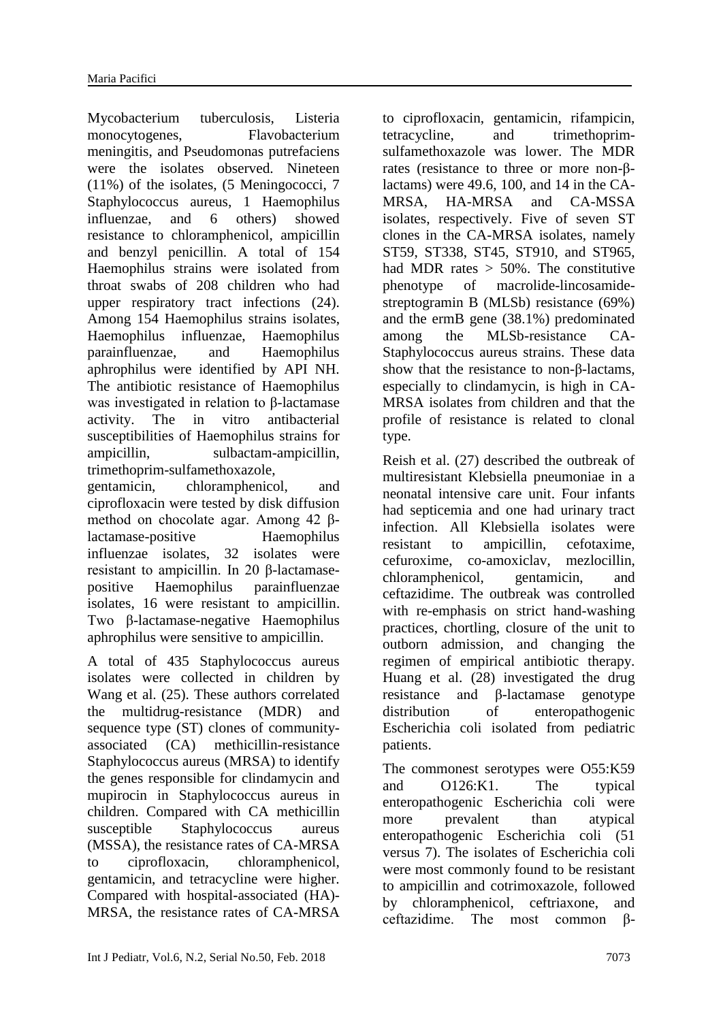Mycobacterium tuberculosis, Listeria monocytogenes, Flavobacterium meningitis, and Pseudomonas putrefaciens were the isolates observed. Nineteen (11%) of the isolates, (5 Meningococci, 7 Staphylococcus aureus, 1 Haemophilus influenzae, and 6 others) showed resistance to chloramphenicol, ampicillin and benzyl penicillin. A total of 154 Haemophilus strains were isolated from throat swabs of 208 children who had upper respiratory tract infections (24). Among 154 Haemophilus strains isolates, Haemophilus influenzae, Haemophilus parainfluenzae, and Haemophilus aphrophilus were identified by API NH. The antibiotic resistance of Haemophilus was investigated in relation to β-lactamase activity. The in vitro antibacterial susceptibilities of Haemophilus strains for ampicillin, sulbactam-ampicillin, trimethoprim-sulfamethoxazole,

gentamicin, chloramphenicol, and ciprofloxacin were tested by disk diffusion method on chocolate agar. Among 42 βlactamase-positive Haemophilus influenzae isolates, 32 isolates were resistant to ampicillin. In 20 β-lactamasepositive Haemophilus parainfluenzae isolates, 16 were resistant to ampicillin. Two β-lactamase-negative Haemophilus aphrophilus were sensitive to ampicillin.

A total of 435 Staphylococcus aureus isolates were collected in children by Wang et al. (25). These authors correlated the multidrug-resistance (MDR) and sequence type (ST) clones of communityassociated (CA) methicillin-resistance Staphylococcus aureus (MRSA) to identify the genes responsible for clindamycin and mupirocin in Staphylococcus aureus in children. Compared with CA methicillin susceptible Staphylococcus aureus (MSSA), the resistance rates of CA-MRSA to ciprofloxacin, chloramphenicol, gentamicin, and tetracycline were higher. Compared with hospital-associated (HA)- MRSA, the resistance rates of CA-MRSA

to ciprofloxacin, gentamicin, rifampicin, tetracycline, and trimethoprimsulfamethoxazole was lower. The MDR rates (resistance to three or more non-βlactams) were 49.6, 100, and 14 in the CA-MRSA, HA-MRSA and CA-MSSA isolates, respectively. Five of seven ST clones in the CA-MRSA isolates, namely ST59, ST338, ST45, ST910, and ST965, had MDR rates  $> 50\%$ . The constitutive phenotype of macrolide-lincosamidestreptogramin B (MLSb) resistance (69%) and the ermB gene (38.1%) predominated among the MLSb-resistance CA-Staphylococcus aureus strains. These data show that the resistance to non-β-lactams, especially to clindamycin, is high in CA-MRSA isolates from children and that the profile of resistance is related to clonal type.

Reish et al. (27) described the outbreak of multiresistant Klebsiella pneumoniae in a neonatal intensive care unit. Four infants had septicemia and one had urinary tract infection. All Klebsiella isolates were resistant to ampicillin, cefotaxime, cefuroxime, co-amoxiclav, mezlocillin, chloramphenicol, gentamicin, and ceftazidime. The outbreak was controlled with re-emphasis on strict hand-washing practices, chortling, closure of the unit to outborn admission, and changing the regimen of empirical antibiotic therapy. Huang et al. (28) investigated the drug resistance and β-lactamase genotype distribution of enteropathogenic Escherichia coli isolated from pediatric patients.

The commonest serotypes were O55:K59 and O126:K1. The typical enteropathogenic Escherichia coli were more prevalent than atypical enteropathogenic Escherichia coli (51 versus 7). The isolates of Escherichia coli were most commonly found to be resistant to ampicillin and cotrimoxazole, followed by chloramphenicol, ceftriaxone, and ceftazidime. The most common β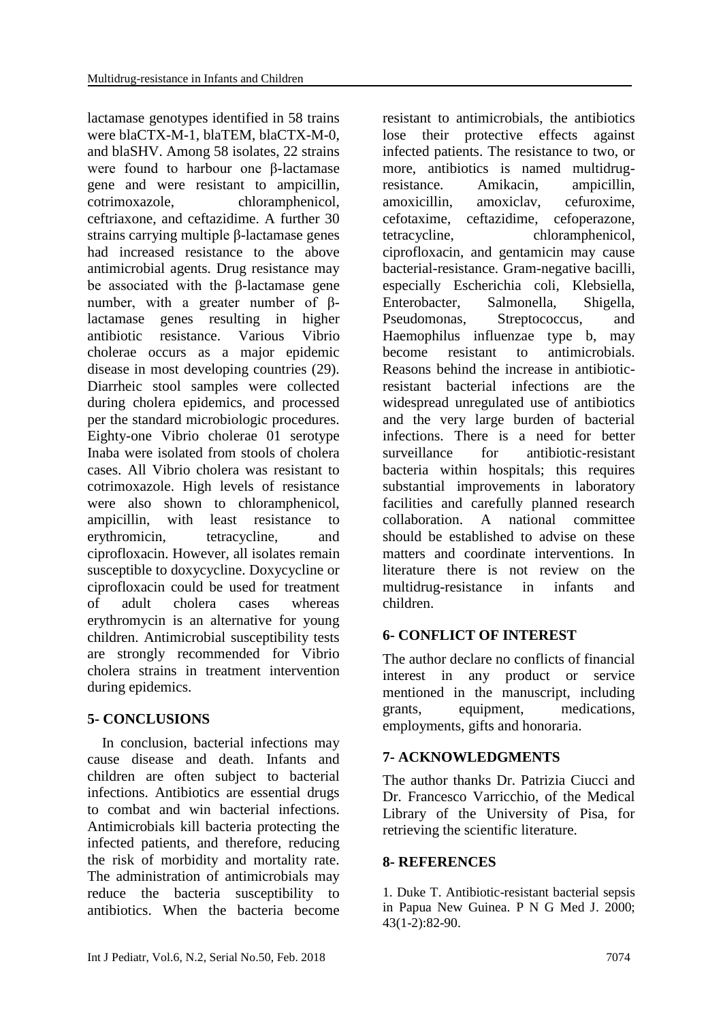lactamase genotypes identified in 58 trains were blaCTX-M-1, blaTEM, blaCTX-M-0, and blaSHV. Among 58 isolates, 22 strains were found to harbour one β-lactamase gene and were resistant to ampicillin, cotrimoxazole, chloramphenicol, ceftriaxone, and ceftazidime. A further 30 strains carrying multiple β-lactamase genes had increased resistance to the above antimicrobial agents. Drug resistance may be associated with the β-lactamase gene number, with a greater number of βlactamase genes resulting in higher antibiotic resistance. Various Vibrio cholerae occurs as a major epidemic disease in most developing countries (29). Diarrheic stool samples were collected during cholera epidemics, and processed per the standard microbiologic procedures. Eighty-one Vibrio cholerae 01 serotype Inaba were isolated from stools of cholera cases. All Vibrio cholera was resistant to cotrimoxazole. High levels of resistance were also shown to chloramphenicol, ampicillin, with least resistance to erythromicin, tetracycline, and ciprofloxacin. However, all isolates remain susceptible to doxycycline. Doxycycline or ciprofloxacin could be used for treatment of adult cholera cases whereas erythromycin is an alternative for young children. Antimicrobial susceptibility tests are strongly recommended for Vibrio cholera strains in treatment intervention during epidemics.

#### **5- CONCLUSIONS**

 In conclusion, bacterial infections may cause disease and death. Infants and children are often subject to bacterial infections. Antibiotics are essential drugs to combat and win bacterial infections. Antimicrobials kill bacteria protecting the infected patients, and therefore, reducing the risk of morbidity and mortality rate. The administration of antimicrobials may reduce the bacteria susceptibility to antibiotics. When the bacteria become resistant to antimicrobials, the antibiotics lose their protective effects against infected patients. The resistance to two, or more, antibiotics is named multidrugresistance. Amikacin, ampicillin, amoxicillin, amoxiclav, cefuroxime, cefotaxime, ceftazidime, cefoperazone, tetracycline, chloramphenicol, ciprofloxacin, and gentamicin may cause bacterial-resistance. Gram-negative bacilli, especially Escherichia coli, Klebsiella, Enterobacter, Salmonella, Shigella, Pseudomonas, Streptococcus, and Haemophilus influenzae type b, may become resistant to antimicrobials. Reasons behind the increase in antibioticresistant bacterial infections are the widespread unregulated use of antibiotics and the very large burden of bacterial infections. There is a need for better surveillance for antibiotic-resistant bacteria within hospitals; this requires substantial improvements in laboratory facilities and carefully planned research collaboration. A national committee should be established to advise on these matters and coordinate interventions. In literature there is not review on the multidrug-resistance in infants and children.

# **6- CONFLICT OF INTEREST**

The author declare no conflicts of financial interest in any product or service mentioned in the manuscript, including grants, equipment, medications, employments, gifts and honoraria.

## **7- ACKNOWLEDGMENTS**

The author thanks Dr. Patrizia Ciucci and Dr. Francesco Varricchio, of the Medical Library of the University of Pisa, for retrieving the scientific literature.

## **8- REFERENCES**

1. Duke T. [Antibiotic-resistant bacterial sepsis](https://www.ncbi.nlm.nih.gov/pubmed/11407623)  [in Papua New Guinea.](https://www.ncbi.nlm.nih.gov/pubmed/11407623) P N G Med J. 2000; 43(1-2):82-90.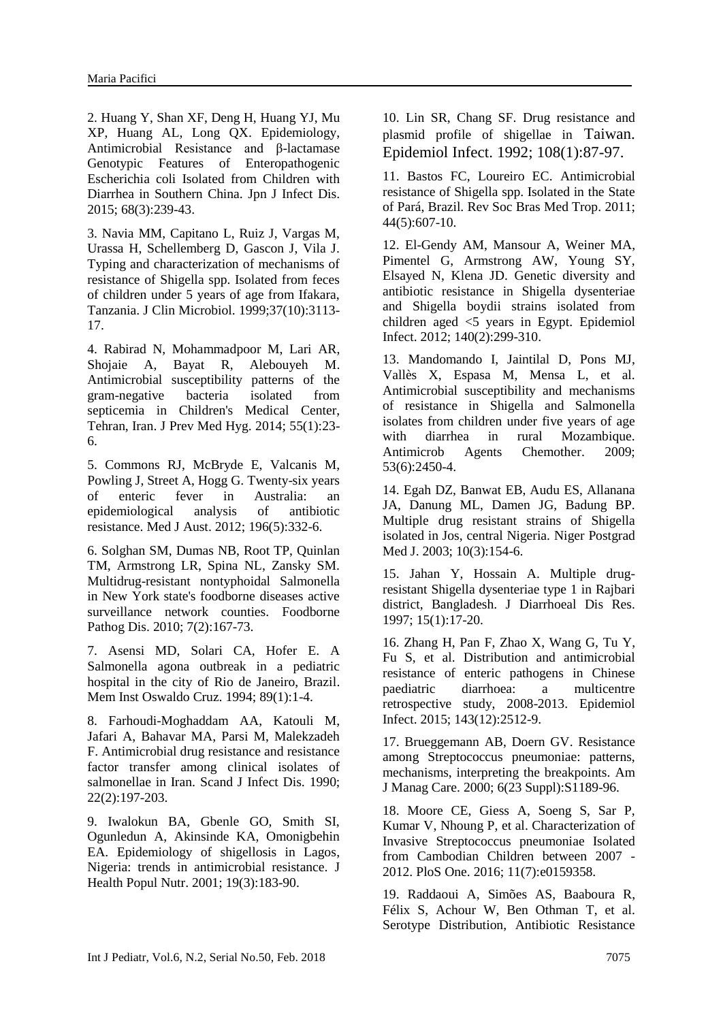2. [Huang Y,](https://www.ncbi.nlm.nih.gov/pubmed/?term=Huang%20Y%5BAuthor%5D&cauthor=true&cauthor_uid=25672408) [Shan XF,](https://www.ncbi.nlm.nih.gov/pubmed/?term=Shan%20XF%5BAuthor%5D&cauthor=true&cauthor_uid=25672408) [Deng H,](https://www.ncbi.nlm.nih.gov/pubmed/?term=Deng%20H%5BAuthor%5D&cauthor=true&cauthor_uid=25672408) [Huang YJ,](https://www.ncbi.nlm.nih.gov/pubmed/?term=Huang%20YJ%5BAuthor%5D&cauthor=true&cauthor_uid=25672408) [Mu](https://www.ncbi.nlm.nih.gov/pubmed/?term=Mu%20XP%5BAuthor%5D&cauthor=true&cauthor_uid=25672408)  [XP,](https://www.ncbi.nlm.nih.gov/pubmed/?term=Mu%20XP%5BAuthor%5D&cauthor=true&cauthor_uid=25672408) [Huang AL,](https://www.ncbi.nlm.nih.gov/pubmed/?term=Huang%20AL%5BAuthor%5D&cauthor=true&cauthor_uid=25672408) [Long QX.](https://www.ncbi.nlm.nih.gov/pubmed/?term=Long%20QX%5BAuthor%5D&cauthor=true&cauthor_uid=25672408) Epidemiology, Antimicrobial Resistance and β-lactamase Genotypic Features of Enteropathogenic Escherichia coli Isolated from Children with Diarrhea in Southern China. [Jpn J Infect Dis.](https://www.ncbi.nlm.nih.gov/pubmed/?term=huang+y%2C+shan+xf%2C+deng+h+2015) 2015; 68(3):239-43.

3. Navia MM, Capitano L, Ruiz J, Vargas M, Urassa H, Schellemberg D, Gascon J, Vila J. [Typing and characterization of mechanisms of](https://www.ncbi.nlm.nih.gov/pubmed/10488163)  [resistance of Shigella spp. Isolated from feces](https://www.ncbi.nlm.nih.gov/pubmed/10488163)  [of children under 5 years of age from Ifakara,](https://www.ncbi.nlm.nih.gov/pubmed/10488163)  [Tanzania.](https://www.ncbi.nlm.nih.gov/pubmed/10488163) J Clin Microbiol. 1999;37(10):3113- 17.

4. [Rabirad N,](https://www.ncbi.nlm.nih.gov/pubmed/?term=Rabirad%20N%5BAuthor%5D&cauthor=true&cauthor_uid=25916028) [Mohammadpoor M,](https://www.ncbi.nlm.nih.gov/pubmed/?term=Mohammadpoor%20M%5BAuthor%5D&cauthor=true&cauthor_uid=25916028) [Lari AR,](https://www.ncbi.nlm.nih.gov/pubmed/?term=Lari%20AR%5BAuthor%5D&cauthor=true&cauthor_uid=25916028) [Shojaie A,](https://www.ncbi.nlm.nih.gov/pubmed/?term=Shojaie%20A%5BAuthor%5D&cauthor=true&cauthor_uid=25916028) [Bayat R,](https://www.ncbi.nlm.nih.gov/pubmed/?term=Bayat%20R%5BAuthor%5D&cauthor=true&cauthor_uid=25916028) [Alebouyeh M.](https://www.ncbi.nlm.nih.gov/pubmed/?term=Alebouyeh%20M%5BAuthor%5D&cauthor=true&cauthor_uid=25916028) Antimicrobial susceptibility patterns of the gram-negative bacteria isolated from septicemia in Children's Medical Center, Tehran, Iran. [J Prev Med Hyg.](https://www.ncbi.nlm.nih.gov/pubmed/?term=Rabirad+n+2014) 2014; 55(1):23- 6.

5. Commons RJ, McBryde E, Valcanis M, Powling J, Street A, Hogg G. [Twenty-six years](https://www.ncbi.nlm.nih.gov/pubmed/22432672)  [of enteric fever in Australia: an](https://www.ncbi.nlm.nih.gov/pubmed/22432672)  [epidemiological analysis of antibiotic](https://www.ncbi.nlm.nih.gov/pubmed/22432672)  [resistance.](https://www.ncbi.nlm.nih.gov/pubmed/22432672) Med J Aust. 2012; 196(5):332-6.

6. [Solghan SM,](https://www.ncbi.nlm.nih.gov/pubmed/?term=Solghan%20SM%5BAuthor%5D&cauthor=true&cauthor_uid=19821741) [Dumas NB,](https://www.ncbi.nlm.nih.gov/pubmed/?term=Dumas%20NB%5BAuthor%5D&cauthor=true&cauthor_uid=19821741) [Root TP,](https://www.ncbi.nlm.nih.gov/pubmed/?term=Root%20TP%5BAuthor%5D&cauthor=true&cauthor_uid=19821741) [Quinlan](https://www.ncbi.nlm.nih.gov/pubmed/?term=Quinlan%20TM%5BAuthor%5D&cauthor=true&cauthor_uid=19821741)  [TM,](https://www.ncbi.nlm.nih.gov/pubmed/?term=Quinlan%20TM%5BAuthor%5D&cauthor=true&cauthor_uid=19821741) [Armstrong LR,](https://www.ncbi.nlm.nih.gov/pubmed/?term=Armstrong%20LR%5BAuthor%5D&cauthor=true&cauthor_uid=19821741) [Spina NL,](https://www.ncbi.nlm.nih.gov/pubmed/?term=Spina%20NL%5BAuthor%5D&cauthor=true&cauthor_uid=19821741) [Zansky SM.](https://www.ncbi.nlm.nih.gov/pubmed/?term=Zansky%20SM%5BAuthor%5D&cauthor=true&cauthor_uid=19821741) Multidrug-resistant nontyphoidal Salmonella in New York state's foodborne diseases active surveillance network counties. [Foodborne](https://www.ncbi.nlm.nih.gov/pubmed/?term=Solghan+sm+2010)  [Pathog Dis.](https://www.ncbi.nlm.nih.gov/pubmed/?term=Solghan+sm+2010) 2010; 7(2):167-73.

7. Asensi MD, Solari CA, Hofer E. [A](https://www.ncbi.nlm.nih.gov/pubmed/7823804)  [Salmonella agona outbreak in a pediatric](https://www.ncbi.nlm.nih.gov/pubmed/7823804)  [hospital in the city of Rio de Janeiro, Brazil.](https://www.ncbi.nlm.nih.gov/pubmed/7823804) Mem Inst Oswaldo Cruz. 1994; 89(1):1-4.

8. Farhoudi-Moghaddam AA, Katouli M, Jafari A, Bahavar MA, Parsi M, Malekzadeh F. [Antimicrobial drug resistance and resistance](https://www.ncbi.nlm.nih.gov/pubmed/2356442)  [factor transfer among clinical isolates of](https://www.ncbi.nlm.nih.gov/pubmed/2356442)  [salmonellae in Iran.](https://www.ncbi.nlm.nih.gov/pubmed/2356442) Scand J Infect Dis. 1990; 22(2):197-203.

9. Iwalokun BA, Gbenle GO, Smith SI, Ogunledun A, Akinsinde KA, Omonigbehin EA. [Epidemiology of shigellosis in Lagos,](https://www.ncbi.nlm.nih.gov/pubmed/11761772)  [Nigeria: trends in antimicrobial resistance.](https://www.ncbi.nlm.nih.gov/pubmed/11761772) J Health Popul Nutr. 2001; 19(3):183-90.

10. [Lin SR,](https://www.ncbi.nlm.nih.gov/pubmed/?term=Lin%20SR%5BAuthor%5D&cauthor=true&cauthor_uid=1547844) [Chang SF.](https://www.ncbi.nlm.nih.gov/pubmed/?term=Chang%20SF%5BAuthor%5D&cauthor=true&cauthor_uid=1547844) Drug resistance and plasmid profile of shigellae in Taiwan. [Epidemiol Infect.](https://www.ncbi.nlm.nih.gov/pubmed/?term=Lin+sr%2C+Chang+sf+1992) 1992; 108(1):87-97.

11. Bastos FC, Loureiro EC. [Antimicrobial](https://www.ncbi.nlm.nih.gov/pubmed/21860994)  [resistance of Shigella spp. Isolated in the State](https://www.ncbi.nlm.nih.gov/pubmed/21860994)  [of Pará, Brazil.](https://www.ncbi.nlm.nih.gov/pubmed/21860994) Rev Soc Bras Med Trop. 2011; 44(5):607-10.

12. [El-Gendy AM,](https://www.ncbi.nlm.nih.gov/pubmed/?term=El-Gendy%20AM%5BAuthor%5D&cauthor=true&cauthor_uid=21470441) [Mansour A,](https://www.ncbi.nlm.nih.gov/pubmed/?term=Mansour%20A%5BAuthor%5D&cauthor=true&cauthor_uid=21470441) [Weiner MA,](https://www.ncbi.nlm.nih.gov/pubmed/?term=Weiner%20MA%5BAuthor%5D&cauthor=true&cauthor_uid=21470441) [Pimentel G,](https://www.ncbi.nlm.nih.gov/pubmed/?term=Pimentel%20G%5BAuthor%5D&cauthor=true&cauthor_uid=21470441) [Armstrong AW,](https://www.ncbi.nlm.nih.gov/pubmed/?term=Armstrong%20AW%5BAuthor%5D&cauthor=true&cauthor_uid=21470441) [Young SY,](https://www.ncbi.nlm.nih.gov/pubmed/?term=Young%20SY%5BAuthor%5D&cauthor=true&cauthor_uid=21470441) [Elsayed N,](https://www.ncbi.nlm.nih.gov/pubmed/?term=Elsayed%20N%5BAuthor%5D&cauthor=true&cauthor_uid=21470441) [Klena JD.](https://www.ncbi.nlm.nih.gov/pubmed/?term=Klena%20JD%5BAuthor%5D&cauthor=true&cauthor_uid=21470441) Genetic diversity and antibiotic resistance in Shigella dysenteriae and Shigella boydii strains isolated from children aged <5 years in Egypt. [Epidemiol](https://www.ncbi.nlm.nih.gov/pubmed/?term=El-Gendy+am+2012)  [Infect.](https://www.ncbi.nlm.nih.gov/pubmed/?term=El-Gendy+am+2012) 2012; 140(2):299-310.

13. Mandomando I, Jaintilal D, Pons MJ, Vallès X, Espasa M, Mensa L, et al. [Antimicrobial susceptibility and mechanisms](https://www.ncbi.nlm.nih.gov/pubmed/19332670)  [of resistance in Shigella and Salmonella](https://www.ncbi.nlm.nih.gov/pubmed/19332670)  [isolates from children under five years of age](https://www.ncbi.nlm.nih.gov/pubmed/19332670)  [with diarrhea in rural Mozambique.](https://www.ncbi.nlm.nih.gov/pubmed/19332670) Antimicrob Agents Chemother. 2009; 53(6):2450-4.

14. Egah DZ, Banwat EB, Audu ES, Allanana JA, Danung ML, Damen JG, Badung BP. [Multiple drug resistant strains of Shigella](https://www.ncbi.nlm.nih.gov/pubmed/14692056)  [isolated in Jos, central Nigeria.](https://www.ncbi.nlm.nih.gov/pubmed/14692056) Niger Postgrad Med J. 2003; 10(3):154-6.

15. [Jahan Y,](https://www.ncbi.nlm.nih.gov/pubmed/?term=Jahan%20Y%5BAuthor%5D&cauthor=true&cauthor_uid=9308296) [Hossain A.](https://www.ncbi.nlm.nih.gov/pubmed/?term=Hossain%20A%5BAuthor%5D&cauthor=true&cauthor_uid=9308296) Multiple drugresistant Shigella dysenteriae type 1 in Rajbari district, Bangladesh. [J Diarrhoeal Dis Res.](https://www.ncbi.nlm.nih.gov/pubmed/?term=Jahan+y+Hossain+a+1997) 1997; 15(1):17-20.

16. [Zhang H,](https://www.ncbi.nlm.nih.gov/pubmed/?term=Zhang%20H%5BAuthor%5D&cauthor=true&cauthor_uid=25586929) [Pan F,](https://www.ncbi.nlm.nih.gov/pubmed/?term=Pan%20F%5BAuthor%5D&cauthor=true&cauthor_uid=25586929) [Zhao X,](https://www.ncbi.nlm.nih.gov/pubmed/?term=Zhao%20X%5BAuthor%5D&cauthor=true&cauthor_uid=25586929) [Wang G,](https://www.ncbi.nlm.nih.gov/pubmed/?term=Wang%20G%5BAuthor%5D&cauthor=true&cauthor_uid=25586929) [Tu Y,](https://www.ncbi.nlm.nih.gov/pubmed/?term=Tu%20Y%5BAuthor%5D&cauthor=true&cauthor_uid=25586929) [Fu S,](https://www.ncbi.nlm.nih.gov/pubmed/?term=Fu%20S%5BAuthor%5D&cauthor=true&cauthor_uid=25586929) et al. Distribution and antimicrobial resistance of enteric pathogens in Chinese paediatric diarrhoea: a multicentre retrospective study, 2008-2013. [Epidemiol](https://www.ncbi.nlm.nih.gov/pubmed/?term=Zhang+h%2C+pan+f%2C+zhao+x%2C+wang+g+2015)  [Infect.](https://www.ncbi.nlm.nih.gov/pubmed/?term=Zhang+h%2C+pan+f%2C+zhao+x%2C+wang+g+2015) 2015; 143(12):2512-9.

17. Brueggemann AB, Doern GV. [Resistance](https://www.ncbi.nlm.nih.gov/pubmed/11187442)  [among Streptococcus pneumoniae: patterns,](https://www.ncbi.nlm.nih.gov/pubmed/11187442)  [mechanisms, interpreting the breakpoints.](https://www.ncbi.nlm.nih.gov/pubmed/11187442) Am J Manag Care. 2000; 6(23 Suppl):S1189-96.

18. [Moore CE,](https://www.ncbi.nlm.nih.gov/pubmed/?term=Moore%20CE%5BAuthor%5D&cauthor=true&cauthor_uid=27448096) [Giess A,](https://www.ncbi.nlm.nih.gov/pubmed/?term=Giess%20A%5BAuthor%5D&cauthor=true&cauthor_uid=27448096) [Soeng S,](https://www.ncbi.nlm.nih.gov/pubmed/?term=Soeng%20S%5BAuthor%5D&cauthor=true&cauthor_uid=27448096) [Sar P,](https://www.ncbi.nlm.nih.gov/pubmed/?term=Sar%20P%5BAuthor%5D&cauthor=true&cauthor_uid=27448096) [Kumar V,](https://www.ncbi.nlm.nih.gov/pubmed/?term=Kumar%20V%5BAuthor%5D&cauthor=true&cauthor_uid=27448096) [Nhoung P,](https://www.ncbi.nlm.nih.gov/pubmed/?term=Nhoung%20P%5BAuthor%5D&cauthor=true&cauthor_uid=27448096) et al. Characterization of Invasive Streptococcus pneumoniae Isolated from Cambodian Children between 2007 - 2012. [PloS One.](https://www.ncbi.nlm.nih.gov/pubmed/?term=Moore+ce%2C+giess+a+2016) 2016; 11(7):e0159358.

19. [Raddaoui A,](https://www.ncbi.nlm.nih.gov/pubmed/?term=Raddaoui%20A%5BAuthor%5D&cauthor=true&cauthor_uid=26461259) [Simões AS,](https://www.ncbi.nlm.nih.gov/pubmed/?term=Sim%C3%B5es%20AS%5BAuthor%5D&cauthor=true&cauthor_uid=26461259) [Baaboura R,](https://www.ncbi.nlm.nih.gov/pubmed/?term=Baaboura%20R%5BAuthor%5D&cauthor=true&cauthor_uid=26461259) [Félix S,](https://www.ncbi.nlm.nih.gov/pubmed/?term=F%C3%A9lix%20S%5BAuthor%5D&cauthor=true&cauthor_uid=26461259) [Achour W,](https://www.ncbi.nlm.nih.gov/pubmed/?term=Achour%20W%5BAuthor%5D&cauthor=true&cauthor_uid=26461259) [Ben Othman T,](https://www.ncbi.nlm.nih.gov/pubmed/?term=Ben%20Othman%20T%5BAuthor%5D&cauthor=true&cauthor_uid=26461259) et al. Serotype Distribution, Antibiotic Resistance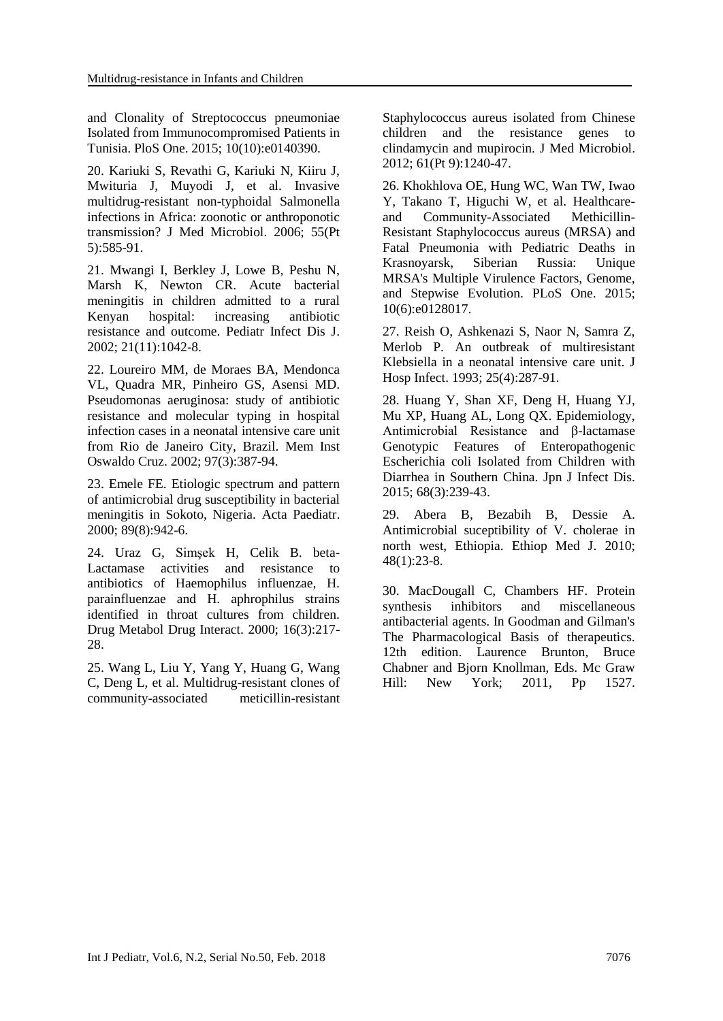and Clonality of Streptococcus pneumoniae Isolated from Immunocompromised Patients in Tunisia. [PloS One.](https://www.ncbi.nlm.nih.gov/pubmed/?term=Raddaoui+a+2015) 2015; 10(10):e0140390.

20. Kariuki S, Revathi G, Kariuki N, Kiiru J, Mwituria J, Muyodi J, et al. [Invasive](https://www.ncbi.nlm.nih.gov/pubmed/16585646)  [multidrug-resistant non-typhoidal Salmonella](https://www.ncbi.nlm.nih.gov/pubmed/16585646)  [infections in Africa: zoonotic or anthroponotic](https://www.ncbi.nlm.nih.gov/pubmed/16585646)  [transmission?](https://www.ncbi.nlm.nih.gov/pubmed/16585646) J Med Microbiol. 2006; 55(Pt 5):585-91.

21. Mwangi I, Berkley J, Lowe B, Peshu N, Marsh K, Newton CR. [Acute bacterial](https://www.ncbi.nlm.nih.gov/pubmed/12442027)  [meningitis in children admitted to a rural](https://www.ncbi.nlm.nih.gov/pubmed/12442027)  [Kenyan hospital: increasing antibiotic](https://www.ncbi.nlm.nih.gov/pubmed/12442027)  [resistance and outcome.](https://www.ncbi.nlm.nih.gov/pubmed/12442027) Pediatr Infect Dis J. 2002; 21(11):1042-8.

22. Loureiro MM, de Moraes BA, Mendonca VL, Quadra MR, Pinheiro GS, Asensi MD. [Pseudomonas aeruginosa: study of antibiotic](https://www.ncbi.nlm.nih.gov/pubmed/12048570)  [resistance and molecular typing in hospital](https://www.ncbi.nlm.nih.gov/pubmed/12048570)  [infection cases in a neonatal intensive care unit](https://www.ncbi.nlm.nih.gov/pubmed/12048570)  [from Rio de Janeiro City, Brazil.](https://www.ncbi.nlm.nih.gov/pubmed/12048570) Mem Inst Oswaldo Cruz. 2002; 97(3):387-94.

23. Emele FE. [Etiologic spectrum and pattern](https://www.ncbi.nlm.nih.gov/pubmed/10976835)  [of antimicrobial drug susceptibility in bacterial](https://www.ncbi.nlm.nih.gov/pubmed/10976835)  [meningitis in Sokoto, Nigeria.](https://www.ncbi.nlm.nih.gov/pubmed/10976835) Acta Paediatr. 2000; 89(8):942-6.

24. [Uraz G,](https://www.ncbi.nlm.nih.gov/pubmed/?term=Uraz%20G%5BAuthor%5D&cauthor=true&cauthor_uid=11116755) [Simşek H,](https://www.ncbi.nlm.nih.gov/pubmed/?term=Sim%C5%9Fek%20H%5BAuthor%5D&cauthor=true&cauthor_uid=11116755) [Celik B.](https://www.ncbi.nlm.nih.gov/pubmed/?term=Celik%20B%5BAuthor%5D&cauthor=true&cauthor_uid=11116755) beta-Lactamase activities and resistance to antibiotics of Haemophilus influenzae, H. parainfluenzae and H. aphrophilus strains identified in throat cultures from children. [Drug Metabol Drug Interact.](https://www.ncbi.nlm.nih.gov/pubmed/?term=Haemophilus+bacteria+are+normally+present+in+the+upper+respiratory+tract+of+healthy+individuals.) 2000; 16(3):217- 28.

25. Wang L, Liu Y, Yang Y, Huang G, Wang C, Deng L, et al. [Multidrug-resistant clones of](https://www.ncbi.nlm.nih.gov/pubmed/22595913)  [community-associated meticillin-resistant](https://www.ncbi.nlm.nih.gov/pubmed/22595913) 

[Staphylococcus aureus isolated from Chinese](https://www.ncbi.nlm.nih.gov/pubmed/22595913)  [children and the resistance genes to](https://www.ncbi.nlm.nih.gov/pubmed/22595913)  [clindamycin and mupirocin.](https://www.ncbi.nlm.nih.gov/pubmed/22595913) J Med Microbiol. 2012; 61(Pt 9):1240-47.

26. [Khokhlova OE,](https://www.ncbi.nlm.nih.gov/pubmed/?term=Khokhlova%20OE%5BAuthor%5D&cauthor=true&cauthor_uid=26047024) [Hung WC,](https://www.ncbi.nlm.nih.gov/pubmed/?term=Hung%20WC%5BAuthor%5D&cauthor=true&cauthor_uid=26047024) [Wan TW,](https://www.ncbi.nlm.nih.gov/pubmed/?term=Wan%20TW%5BAuthor%5D&cauthor=true&cauthor_uid=26047024) [Iwao](https://www.ncbi.nlm.nih.gov/pubmed/?term=Iwao%20Y%5BAuthor%5D&cauthor=true&cauthor_uid=26047024)  [Y,](https://www.ncbi.nlm.nih.gov/pubmed/?term=Iwao%20Y%5BAuthor%5D&cauthor=true&cauthor_uid=26047024) [Takano T,](https://www.ncbi.nlm.nih.gov/pubmed/?term=Takano%20T%5BAuthor%5D&cauthor=true&cauthor_uid=26047024) [Higuchi W,](https://www.ncbi.nlm.nih.gov/pubmed/?term=Higuchi%20W%5BAuthor%5D&cauthor=true&cauthor_uid=26047024) et al. Healthcareand Community-Associated Methicillin-Resistant Staphylococcus aureus (MRSA) and Fatal Pneumonia with Pediatric Deaths in Krasnoyarsk, Siberian Russia: Unique MRSA's Multiple Virulence Factors, Genome, and Stepwise Evolution. [PLoS One.](https://www.ncbi.nlm.nih.gov/pubmed/?term=Khokhlova+OE%2C+Hung+WC%2C+Wan+TW%2C+Iwao+Y%2C+Takano+T%2C+2015) 2015; 10(6):e0128017.

27. Reish O, Ashkenazi S, Naor N, Samra Z, Merlob P. [An outbreak of multiresistant](https://www.ncbi.nlm.nih.gov/pubmed/7907625)  [Klebsiella in a neonatal intensive care unit.](https://www.ncbi.nlm.nih.gov/pubmed/7907625) J Hosp Infect. 1993; 25(4):287-91.

28. [Huang Y,](https://www.ncbi.nlm.nih.gov/pubmed/?term=Huang%20Y%5BAuthor%5D&cauthor=true&cauthor_uid=25672408) [Shan XF,](https://www.ncbi.nlm.nih.gov/pubmed/?term=Shan%20XF%5BAuthor%5D&cauthor=true&cauthor_uid=25672408) [Deng H,](https://www.ncbi.nlm.nih.gov/pubmed/?term=Deng%20H%5BAuthor%5D&cauthor=true&cauthor_uid=25672408) [Huang YJ,](https://www.ncbi.nlm.nih.gov/pubmed/?term=Huang%20YJ%5BAuthor%5D&cauthor=true&cauthor_uid=25672408) [Mu XP,](https://www.ncbi.nlm.nih.gov/pubmed/?term=Mu%20XP%5BAuthor%5D&cauthor=true&cauthor_uid=25672408) [Huang AL,](https://www.ncbi.nlm.nih.gov/pubmed/?term=Huang%20AL%5BAuthor%5D&cauthor=true&cauthor_uid=25672408) [Long QX.](https://www.ncbi.nlm.nih.gov/pubmed/?term=Long%20QX%5BAuthor%5D&cauthor=true&cauthor_uid=25672408) Epidemiology, Antimicrobial Resistance and β-lactamase Genotypic Features of Enteropathogenic Escherichia coli Isolated from Children with Diarrhea in Southern China. [Jpn J Infect Dis.](https://www.ncbi.nlm.nih.gov/pubmed/?term=Huang+y%2C+shan+xf%2C+deng+h%2C+huang+yj+2015) 2015; 68(3):239-43.

29. Abera B, Bezabih B, Dessie A. [Antimicrobial suceptibility of V. cholerae in](https://www.ncbi.nlm.nih.gov/pubmed/20607994)  [north west, Ethiopia.](https://www.ncbi.nlm.nih.gov/pubmed/20607994) Ethiop Med J. 2010; 48(1):23-8.

30. MacDougall C, Chambers HF. Protein synthesis inhibitors and miscellaneous antibacterial agents. In Goodman and Gilman's The Pharmacological Basis of therapeutics. 12th edition. Laurence Brunton, Bruce Chabner and Bjorn Knollman, Eds. Mc Graw Hill: New York; 2011, Pp 1527.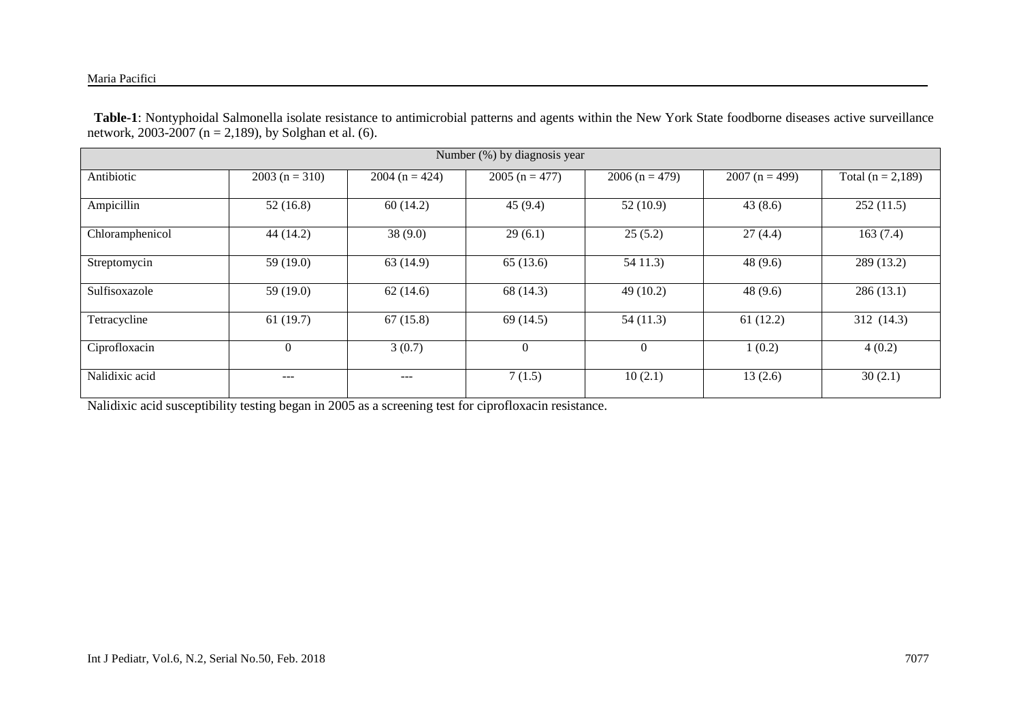#### Maria Pacifici

 **Table-1**: Nontyphoidal Salmonella isolate resistance to antimicrobial patterns and agents within the New York State foodborne diseases active surveillance network, 2003-2007 (n = 2,189), by Solghan et al. (6).

| Number (%) by diagnosis year |                 |                    |                 |                  |                 |                     |  |  |  |  |
|------------------------------|-----------------|--------------------|-----------------|------------------|-----------------|---------------------|--|--|--|--|
| Antibiotic                   | $2003(n = 310)$ | 2004 ( $n = 424$ ) | $2005(n = 477)$ | $2006 (n = 479)$ | $2007(n = 499)$ | Total $(n = 2,189)$ |  |  |  |  |
| Ampicillin                   | 52(16.8)        | 60(14.2)           | 45(9.4)         | 52(10.9)         | 43(8.6)         | 252(11.5)           |  |  |  |  |
| Chloramphenicol              | 44 (14.2)       | 38(9.0)            | 29(6.1)         | 25(5.2)          | 27(4.4)         | 163(7.4)            |  |  |  |  |
| Streptomycin                 | 59 $(19.0)$     | 63(14.9)           | 65(13.6)        | 5411.3           | 48(9.6)         | 289 (13.2)          |  |  |  |  |
| Sulfisoxazole                | 59 $(19.0)$     | 62(14.6)           | 68 (14.3)       | 49(10.2)         | 48(9.6)         | 286(13.1)           |  |  |  |  |
| Tetracycline                 | 61(19.7)        | 67(15.8)           | 69(14.5)        | 54(11.3)         | 61(12.2)        | 312 (14.3)          |  |  |  |  |
| Ciprofloxacin                | $\mathbf{0}$    | 3(0.7)             | $\theta$        | 0                | 1(0.2)          | 4(0.2)              |  |  |  |  |
| Nalidixic acid               | ---             | ---                | 7(1.5)          | 10(2.1)          | 13(2.6)         | 30(2.1)             |  |  |  |  |

Nalidixic acid susceptibility testing began in 2005 as a screening test for ciprofloxacin resistance.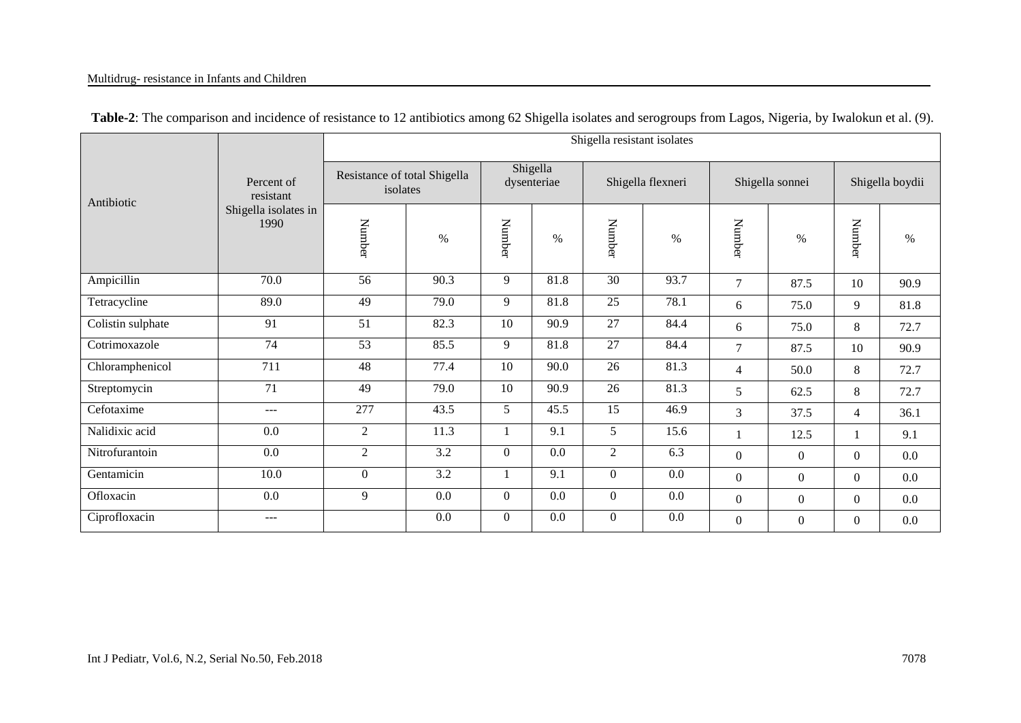#### Multidrug- resistance in Infants and Children

|                   |                              | Shigella resistant isolates              |                  |                         |         |                   |         |                 |              |                 |         |  |
|-------------------|------------------------------|------------------------------------------|------------------|-------------------------|---------|-------------------|---------|-----------------|--------------|-----------------|---------|--|
| Antibiotic        | Percent of<br>resistant      | Resistance of total Shigella<br>isolates |                  | Shigella<br>dysenteriae |         | Shigella flexneri |         | Shigella sonnei |              | Shigella boydii |         |  |
|                   | Shigella isolates in<br>1990 | Number                                   | $\%$             | Number                  | $\%$    | Number            | $\%$    | Number          | $\%$         | Number          | %       |  |
| Ampicillin        | 70.0                         | $\overline{56}$                          | 90.3             | 9                       | 81.8    | 30                | 93.7    | $\overline{7}$  | 87.5         | 10              | 90.9    |  |
| Tetracycline      | 89.0                         | 49                                       | 79.0             | 9                       | 81.8    | 25                | 78.1    | 6               | 75.0         | 9               | 81.8    |  |
| Colistin sulphate | 91                           | 51                                       | 82.3             | 10                      | 90.9    | 27                | 84.4    | 6               | 75.0         | 8               | 72.7    |  |
| Cotrimoxazole     | 74                           | $\overline{53}$                          | 85.5             | 9                       | 81.8    | 27                | 84.4    | $\tau$          | 87.5         | 10              | 90.9    |  |
| Chloramphenicol   | 711                          | 48                                       | 77.4             | 10                      | 90.0    | 26                | 81.3    | $\overline{4}$  | 50.0         | 8               | 72.7    |  |
| Streptomycin      | 71                           | 49                                       | 79.0             | 10                      | 90.9    | 26                | 81.3    | 5               | 62.5         | 8               | 72.7    |  |
| Cefotaxime        | $---$                        | 277                                      | 43.5             | 5                       | 45.5    | 15                | 46.9    | 3               | 37.5         | $\overline{4}$  | 36.1    |  |
| Nalidixic acid    | 0.0                          | $\overline{2}$                           | 11.3             |                         | 9.1     | 5                 | 15.6    |                 | 12.5         |                 | 9.1     |  |
| Nitrofurantoin    | 0.0                          | $\overline{2}$                           | $\overline{3.2}$ | $\overline{0}$          | $0.0\,$ | $\overline{2}$    | 6.3     | $\Omega$        | $\Omega$     | $\Omega$        | $0.0\,$ |  |
| Gentamicin        | 10.0                         | $\overline{0}$                           | $\overline{3.2}$ |                         | 9.1     | $\overline{0}$    | $0.0\,$ | $\overline{0}$  | $\mathbf{0}$ | $\mathbf{0}$    | $0.0\,$ |  |
| Ofloxacin         | 0.0                          | 9                                        | 0.0              | $\overline{0}$          | $0.0\,$ | $\overline{0}$    | $0.0\,$ | $\overline{0}$  | $\mathbf{0}$ | $\mathbf{0}$    | $0.0\,$ |  |
| Ciprofloxacin     | $---$                        |                                          | 0.0              | $\overline{0}$          | $0.0\,$ | $\overline{0}$    | $0.0\,$ | $\overline{0}$  | $\theta$     | $\mathbf{0}$    | $0.0\,$ |  |

#### **Table-2**: The comparison and incidence of resistance to 12 antibiotics among 62 Shigella isolates and serogroups from Lagos, Nigeria, by Iwalokun et al. (9).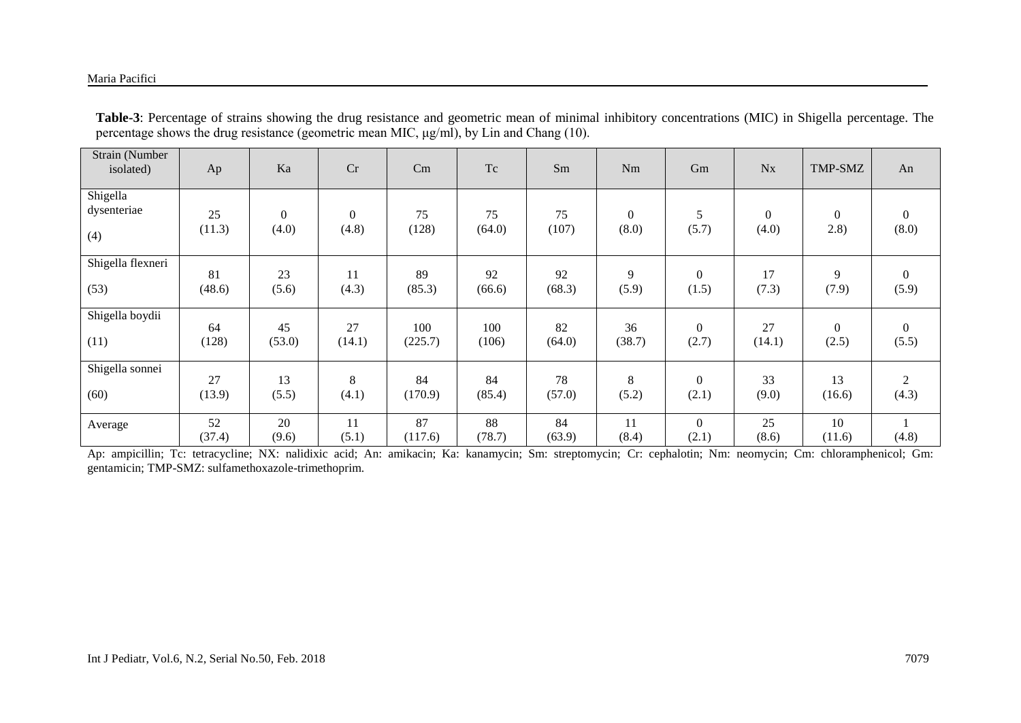#### Maria Pacifici

| Strain (Number<br>isolated)    | Ap           | Ka                        | Cr                        | Cm            | Tc           | Sm           | Nm                    | Gm                      | $N_{X}$                 | TMP-SMZ               | An                        |
|--------------------------------|--------------|---------------------------|---------------------------|---------------|--------------|--------------|-----------------------|-------------------------|-------------------------|-----------------------|---------------------------|
| Shigella<br>dysenteriae<br>(4) | 25<br>(11.3) | $\boldsymbol{0}$<br>(4.0) | $\boldsymbol{0}$<br>(4.8) | 75<br>(128)   | 75<br>(64.0) | 75<br>(107)  | $\mathbf{0}$<br>(8.0) | 5<br>(5.7)              | $\overline{0}$<br>(4.0) | $\mathbf{0}$<br>(2.8) | $\boldsymbol{0}$<br>(8.0) |
| Shigella flexneri              | 81           | 23                        | 11                        | 89            | 92           | 92           | 9                     | $\theta$                | 17                      | 9                     | $\overline{0}$            |
| (53)                           | (48.6)       | (5.6)                     | (4.3)                     | (85.3)        | (66.6)       | (68.3)       | (5.9)                 | (1.5)                   | (7.3)                   | (7.9)                 | (5.9)                     |
| Shigella boydii                | 64           | 45                        | 27                        | 100           | 100          | 82           | 36                    | $\mathbf{0}$            | 27                      | $\boldsymbol{0}$      | $\mathbf{0}$              |
| (11)                           | (128)        | (53.0)                    | (14.1)                    | (225.7)       | (106)        | (64.0)       | (38.7)                | (2.7)                   | (14.1)                  | (2.5)                 | (5.5)                     |
| Shigella sonnei                | 27           | 13                        | 8                         | 84            | 84           | 78           | 8                     | $\theta$                | 33                      | 13                    | $\sqrt{2}$                |
| (60)                           | (13.9)       | (5.5)                     | (4.1)                     | (170.9)       | (85.4)       | (57.0)       | (5.2)                 | (2.1)                   | (9.0)                   | (16.6)                | (4.3)                     |
| Average                        | 52<br>(37.4) | 20<br>(9.6)               | 11<br>(5.1)               | 87<br>(117.6) | 88<br>(78.7) | 84<br>(63.9) | 11<br>(8.4)           | $\overline{0}$<br>(2.1) | 25<br>(8.6)             | 10<br>(11.6)          | (4.8)                     |

**Table-3**: Percentage of strains showing the drug resistance and geometric mean of minimal inhibitory concentrations (MIC) in Shigella percentage. The percentage shows the drug resistance (geometric mean MIC, μg/ml), by Lin and Chang (10).

Ap: ampicillin; Tc: tetracycline; NX: nalidixic acid; An: amikacin; Ka: kanamycin; Sm: streptomycin; Cr: cephalotin; Nm: neomycin; Cm: chloramphenicol; Gm: gentamicin; TMP-SMZ: sulfamethoxazole-trimethoprim.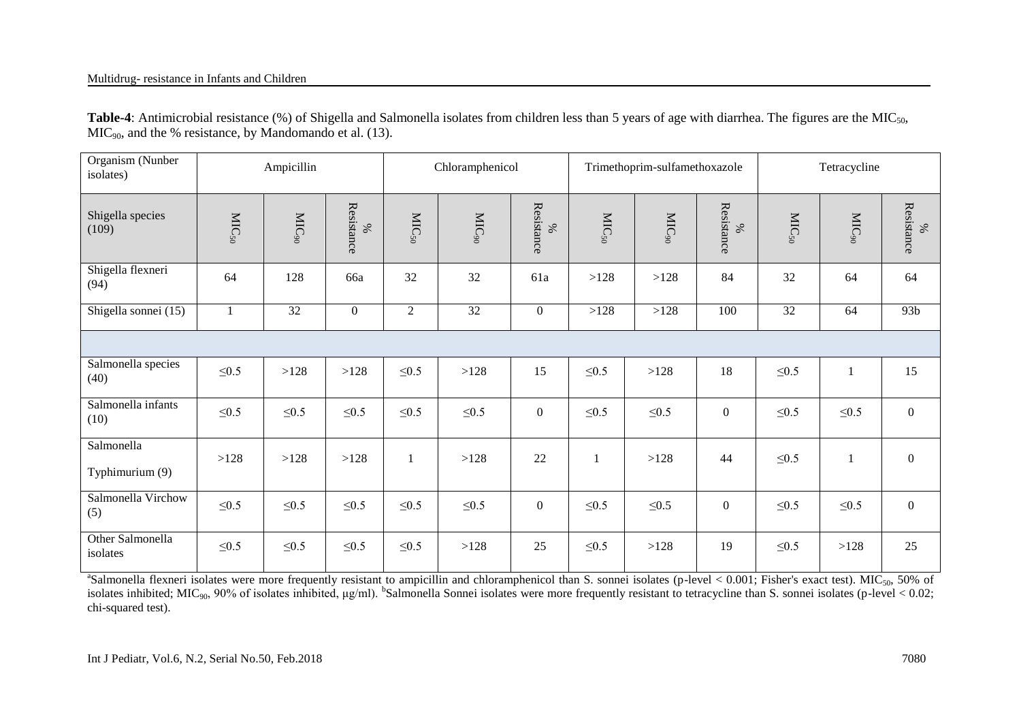Table-4: Antimicrobial resistance (%) of Shigella and Salmonella isolates from children less than 5 years of age with diarrhea. The figures are the MIC<sub>50</sub>,  $MIC<sub>90</sub>$ , and the % resistance, by Mandomando et al. (13).

| Organism (Nunber<br>isolates) |                     | Ampicillin        |                 |                     | Chloramphenicol   |                    |                     | Trimethoprim-sulfamethoxazole |                  | Tetracycline        |                   |                 |
|-------------------------------|---------------------|-------------------|-----------------|---------------------|-------------------|--------------------|---------------------|-------------------------------|------------------|---------------------|-------------------|-----------------|
| Shigella species<br>(109)     | $\mathrm{MIC}_{50}$ | MIC <sub>90</sub> | Resistance<br>% | $\mathrm{MIC}_{50}$ | MIC <sub>90</sub> | Resistance<br>$\%$ | $\mathrm{MIC}_{50}$ | $\mathrm{MIC}_\mathrm{90}$    | Resistance<br>%  | $\mathrm{MIC}_{50}$ | MIC <sub>90</sub> | Resistance<br>% |
| Shigella flexneri<br>(94)     | 64                  | 128               | 66a             | 32                  | 32                | 61a                | >128                | >128                          | 84               | 32                  | 64                | 64              |
| Shigella sonnei (15)          |                     | 32                | $\overline{0}$  | $\overline{2}$      | 32                | $\boldsymbol{0}$   | >128                | >128                          | 100              | 32                  | 64                | 93 <sub>b</sub> |
|                               |                     |                   |                 |                     |                   |                    |                     |                               |                  |                     |                   |                 |
| Salmonella species<br>(40)    | $\leq 0.5$          | >128              | >128            | $\leq 0.5$          | >128              | 15                 | $\leq 0.5$          | >128                          | 18               | $\leq 0.5$          |                   | 15              |
| Salmonella infants<br>(10)    | $\leq 0.5$          | $\leq 0.5$        | $\leq 0.5$      | $\leq 0.5$          | $\leq 0.5$        | $\boldsymbol{0}$   | $\leq 0.5$          | $\leq 0.5$                    | $\overline{0}$   | $\leq0.5$           | $\leq0.5$         | $\overline{0}$  |
| Salmonella<br>Typhimurium (9) | >128                | >128              | >128            | -1                  | >128              | 22                 |                     | >128                          | 44               | $\leq 0.5$          |                   | $\overline{0}$  |
| Salmonella Virchow<br>(5)     | $\leq 0.5$          | $\leq 0.5$        | $\leq 0.5$      | $\leq0.5$           | $\leq0.5$         | $\overline{0}$     | $\leq 0.5$          | $\leq0.5$                     | $\boldsymbol{0}$ | $\leq0.5$           | $\leq0.5$         | $\overline{0}$  |
| Other Salmonella<br>isolates  | $\leq 0.5$          | $\leq0.5$         | $\leq 0.5$      | $\leq0.5$           | >128              | 25                 | $\leq 0.5$          | >128                          | 19               | $\leq0.5$           | >128              | 25              |

<sup>a</sup>Salmonella flexneri isolates were more frequently resistant to ampicillin and chloramphenicol than S. sonnei isolates (p-level < 0.001; Fisher's exact test). MIC<sub>50</sub>, 50% of isolates inhibited; MIC<sub>90</sub>, 90% of isolates inhibited,  $\mu$ g/ml). <sup>b</sup>Salmonella Sonnei isolates were more frequently resistant to tetracycline than S. sonnei isolates (p-level < 0.02; chi-squared test).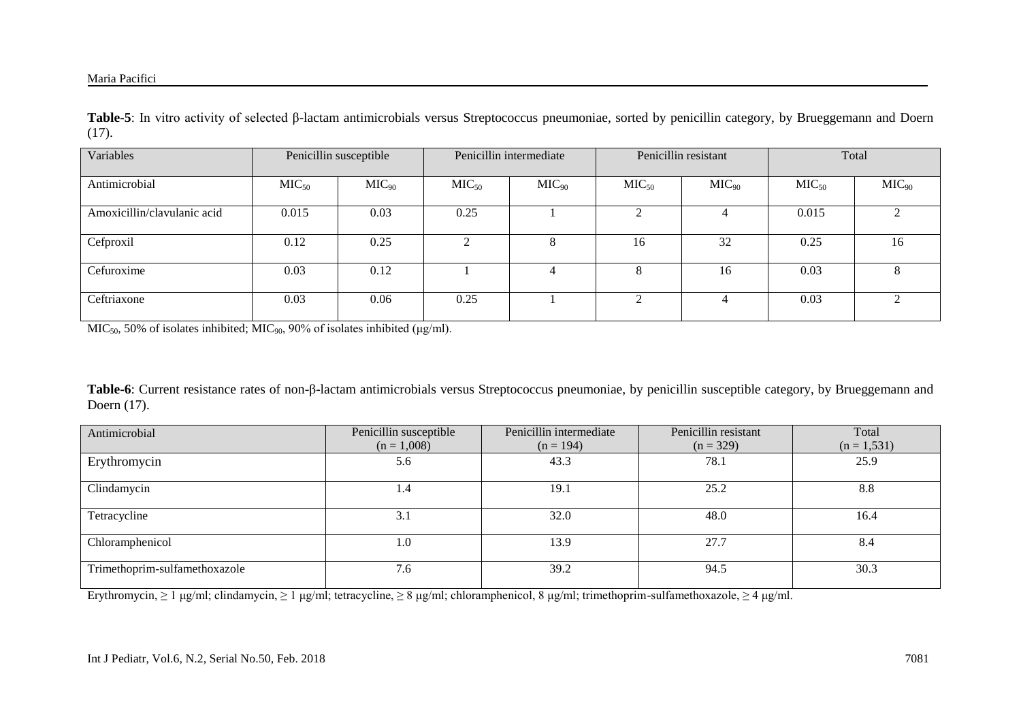#### Maria Pacifici

**Table-5**: In vitro activity of selected β-lactam antimicrobials versus Streptococcus pneumoniae, sorted by penicillin category, by Brueggemann and Doern (17).

| Variables                   |                   | Penicillin susceptible |                   | Penicillin intermediate |                   | Penicillin resistant |                   | Total      |
|-----------------------------|-------------------|------------------------|-------------------|-------------------------|-------------------|----------------------|-------------------|------------|
| Antimicrobial               | MIC <sub>50</sub> | MIC <sub>90</sub>      | MIC <sub>50</sub> | MIC <sub>90</sub>       | MIC <sub>50</sub> | MIC <sub>90</sub>    | MIC <sub>50</sub> | $MIC_{90}$ |
| Amoxicillin/clavulanic acid | 0.015             | 0.03                   | 0.25              |                         |                   |                      | 0.015             |            |
| Cefproxil                   | 0.12              | 0.25                   | $\gamma$          |                         | 16                | 32                   | 0.25              | 16         |
| Cefuroxime                  | 0.03              | 0.12                   |                   |                         | δ                 | 16                   | 0.03              | $\sim$     |
| Ceftriaxone                 | 0.03              | 0.06                   | 0.25              |                         | ↑                 | 4                    | 0.03              |            |

 $MIC<sub>50</sub>$ , 50% of isolates inhibited; MIC<sub>90</sub>, 90% of isolates inhibited ( $\mu$ g/ml).

**Table-6**: Current resistance rates of non-β-lactam antimicrobials versus Streptococcus pneumoniae, by penicillin susceptible category, by Brueggemann and Doern (17).

| Antimicrobial                 | Penicillin susceptible<br>$(n = 1,008)$ | Penicillin intermediate<br>$(n = 194)$ | Penicillin resistant<br>$(n = 329)$ | Total<br>$(n = 1, 531)$ |
|-------------------------------|-----------------------------------------|----------------------------------------|-------------------------------------|-------------------------|
|                               |                                         |                                        |                                     |                         |
| Erythromycin                  | 5.6                                     | 43.3                                   | 78.1                                | 25.9                    |
| Clindamycin                   | 1.4                                     | 19.1                                   | 25.2                                | 8.8                     |
| Tetracycline                  | 3.1                                     | 32.0                                   | 48.0                                | 16.4                    |
| Chloramphenicol               | 1.0                                     | 13.9                                   | 27.7                                | 8.4                     |
| Trimethoprim-sulfamethoxazole | 7.6                                     | 39.2                                   | 94.5                                | 30.3                    |

Erythromycin, ≥ 1 μg/ml; clindamycin, ≥ 1 μg/ml; tetracycline, ≥ 8 μg/ml; chloramphenicol, 8 μg/ml; trimethoprim-sulfamethoxazole, ≥ 4 μg/ml.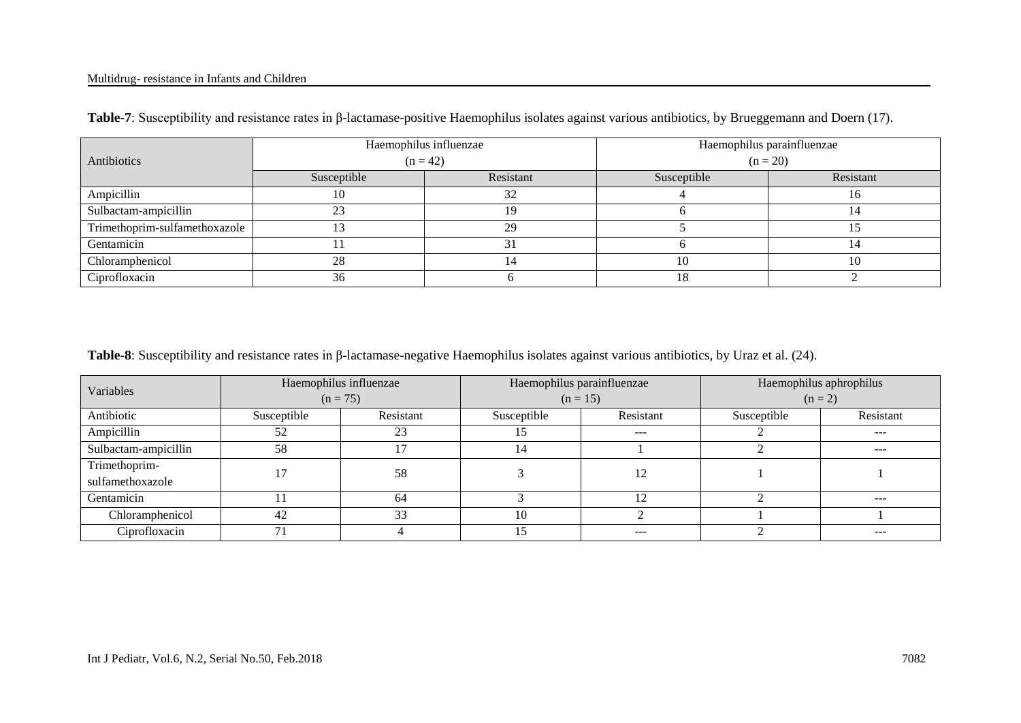#### Multidrug- resistance in Infants and Children

|                               |             | Haemophilus influenzae | Haemophilus parainfluenzae |           |  |  |
|-------------------------------|-------------|------------------------|----------------------------|-----------|--|--|
| Antibiotics                   | $(n = 42)$  |                        | $(n = 20)$                 |           |  |  |
|                               | Susceptible | Resistant              | Susceptible                | Resistant |  |  |
| Ampicillin                    | 10          | 32                     |                            |           |  |  |
| Sulbactam-ampicillin          | 23          | 19                     |                            |           |  |  |
| Trimethoprim-sulfamethoxazole |             | 29                     |                            |           |  |  |
| Gentamicin                    |             |                        |                            |           |  |  |
| Chloramphenicol               | 28          |                        | 10                         |           |  |  |
| Ciprofloxacin                 | 36          |                        | 18                         |           |  |  |

**Table-7**: Susceptibility and resistance rates in β-lactamase-positive Haemophilus isolates against various antibiotics, by Brueggemann and Doern (17).

**Table-8**: Susceptibility and resistance rates in β-lactamase-negative Haemophilus isolates against various antibiotics, by Uraz et al. (24).

| Variables            |             | Haemophilus influenzae | Haemophilus parainfluenzae |                 | Haemophilus aphrophilus |               |  |
|----------------------|-------------|------------------------|----------------------------|-----------------|-------------------------|---------------|--|
|                      |             | $(n = 75)$             |                            | $(n = 15)$      | $(n = 2)$               |               |  |
| Antibiotic           | Susceptible | Resistant              | Susceptible                | Resistant       | Susceptible             | Resistant     |  |
| Ampicillin           | 52          | 23                     |                            | $---$           |                         | $\frac{1}{2}$ |  |
| Sulbactam-ampicillin | 58          |                        | 14                         |                 |                         | ---           |  |
| Trimethoprim-        |             | 58                     |                            | 12              |                         |               |  |
| sulfamethoxazole     |             |                        |                            |                 |                         |               |  |
| Gentamicin           |             | 64                     |                            | 1 $\mathcal{D}$ |                         | ---           |  |
| Chloramphenicol      | 42          | 33                     | 10                         |                 |                         |               |  |
| Ciprofloxacin        | 71          |                        |                            | $---$           |                         | ---           |  |